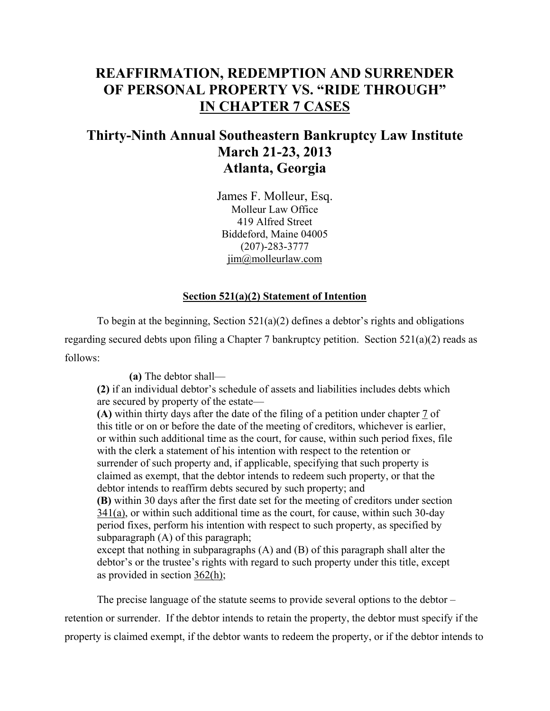# **REAFFIRMATION, REDEMPTION AND SURRENDER OF PERSONAL PROPERTY VS. "RIDE THROUGH" IN CHAPTER 7 CASES**

# **Thirty-Ninth Annual Southeastern Bankruptcy Law Institute March 21-23, 2013 Atlanta, Georgia**

James F. Molleur, Esq. Molleur Law Office 419 Alfred Street Biddeford, Maine 04005 (207)-283-3777 jim@molleurlaw.com

# **Section 521(a)(2) Statement of Intention**

 To begin at the beginning, Section 521(a)(2) defines a debtor's rights and obligations regarding secured debts upon filing a Chapter 7 bankruptcy petition. Section 521(a)(2) reads as follows:

**(a)** The debtor shall—

**(2)** if an individual debtor's schedule of assets and liabilities includes debts which are secured by property of the estate—

**(A)** within thirty days after the date of the filing of a petition under chapter 7 of this title or on or before the date of the meeting of creditors, whichever is earlier, or within such additional time as the court, for cause, within such period fixes, file with the clerk a statement of his intention with respect to the retention or surrender of such property and, if applicable, specifying that such property is claimed as exempt, that the debtor intends to redeem such property, or that the debtor intends to reaffirm debts secured by such property; and

**(B)** within 30 days after the first date set for the meeting of creditors under section  $341(a)$ , or within such additional time as the court, for cause, within such 30-day period fixes, perform his intention with respect to such property, as specified by subparagraph (A) of this paragraph;

except that nothing in subparagraphs (A) and (B) of this paragraph shall alter the debtor's or the trustee's rights with regard to such property under this title, except as provided in section 362(h);

The precise language of the statute seems to provide several options to the debtor – retention or surrender. If the debtor intends to retain the property, the debtor must specify if the property is claimed exempt, if the debtor wants to redeem the property, or if the debtor intends to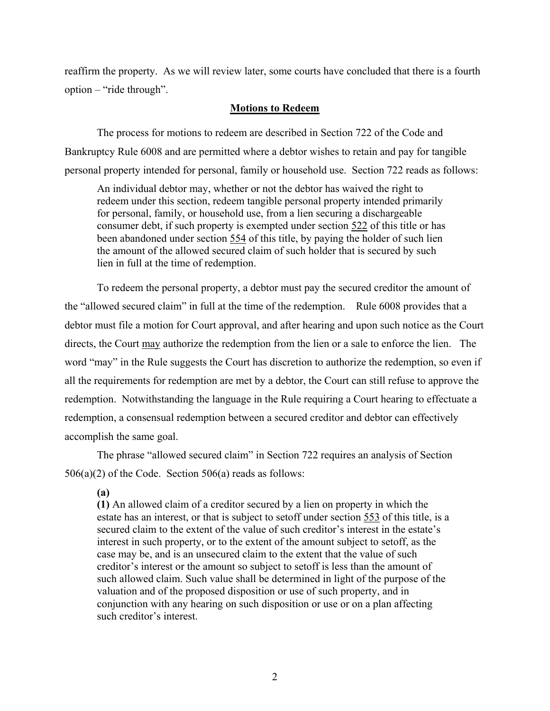reaffirm the property. As we will review later, some courts have concluded that there is a fourth option – "ride through".

# **Motions to Redeem**

 The process for motions to redeem are described in Section 722 of the Code and Bankruptcy Rule 6008 and are permitted where a debtor wishes to retain and pay for tangible personal property intended for personal, family or household use. Section 722 reads as follows:

An individual debtor may, whether or not the debtor has waived the right to redeem under this section, redeem tangible personal property intended primarily for personal, family, or household use, from a lien securing a dischargeable consumer debt, if such property is exempted under section 522 of this title or has been abandoned under section 554 of this title, by paying the holder of such lien the amount of the allowed secured claim of such holder that is secured by such lien in full at the time of redemption.

To redeem the personal property, a debtor must pay the secured creditor the amount of the "allowed secured claim" in full at the time of the redemption. Rule 6008 provides that a debtor must file a motion for Court approval, and after hearing and upon such notice as the Court directs, the Court may authorize the redemption from the lien or a sale to enforce the lien. The word "may" in the Rule suggests the Court has discretion to authorize the redemption, so even if all the requirements for redemption are met by a debtor, the Court can still refuse to approve the redemption. Notwithstanding the language in the Rule requiring a Court hearing to effectuate a redemption, a consensual redemption between a secured creditor and debtor can effectively accomplish the same goal.

The phrase "allowed secured claim" in Section 722 requires an analysis of Section 506(a)(2) of the Code. Section 506(a) reads as follows:

**(a)**

**(1)** An allowed claim of a creditor secured by a lien on property in which the estate has an interest, or that is subject to setoff under section 553 of this title, is a secured claim to the extent of the value of such creditor's interest in the estate's interest in such property, or to the extent of the amount subject to setoff, as the case may be, and is an unsecured claim to the extent that the value of such creditor's interest or the amount so subject to setoff is less than the amount of such allowed claim. Such value shall be determined in light of the purpose of the valuation and of the proposed disposition or use of such property, and in conjunction with any hearing on such disposition or use or on a plan affecting such creditor's interest.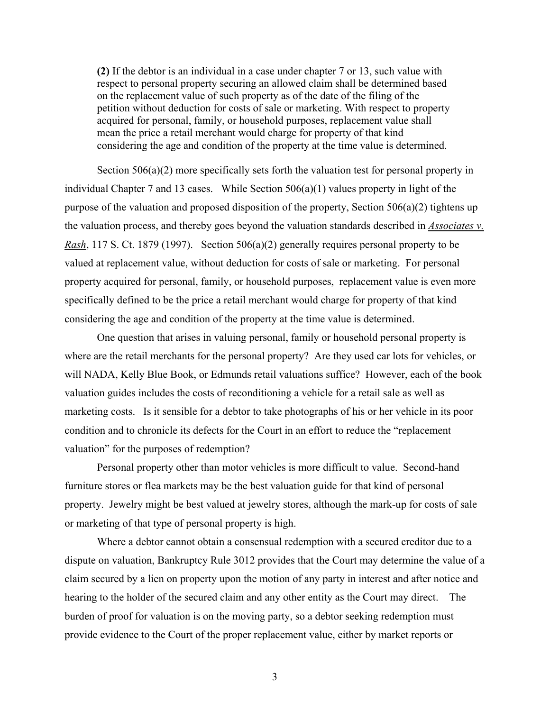**(2)** If the debtor is an individual in a case under chapter 7 or 13, such value with respect to personal property securing an allowed claim shall be determined based on the replacement value of such property as of the date of the filing of the petition without deduction for costs of sale or marketing. With respect to property acquired for personal, family, or household purposes, replacement value shall mean the price a retail merchant would charge for property of that kind considering the age and condition of the property at the time value is determined.

Section 506(a)(2) more specifically sets forth the valuation test for personal property in individual Chapter 7 and 13 cases. While Section  $506(a)(1)$  values property in light of the purpose of the valuation and proposed disposition of the property, Section 506(a)(2) tightens up the valuation process, and thereby goes beyond the valuation standards described in *Associates v. Rash*, 117 S. Ct. 1879 (1997). Section 506(a)(2) generally requires personal property to be valued at replacement value, without deduction for costs of sale or marketing. For personal property acquired for personal, family, or household purposes, replacement value is even more specifically defined to be the price a retail merchant would charge for property of that kind considering the age and condition of the property at the time value is determined.

One question that arises in valuing personal, family or household personal property is where are the retail merchants for the personal property? Are they used car lots for vehicles, or will NADA, Kelly Blue Book, or Edmunds retail valuations suffice? However, each of the book valuation guides includes the costs of reconditioning a vehicle for a retail sale as well as marketing costs. Is it sensible for a debtor to take photographs of his or her vehicle in its poor condition and to chronicle its defects for the Court in an effort to reduce the "replacement valuation" for the purposes of redemption?

Personal property other than motor vehicles is more difficult to value. Second-hand furniture stores or flea markets may be the best valuation guide for that kind of personal property. Jewelry might be best valued at jewelry stores, although the mark-up for costs of sale or marketing of that type of personal property is high.

Where a debtor cannot obtain a consensual redemption with a secured creditor due to a dispute on valuation, Bankruptcy Rule 3012 provides that the Court may determine the value of a claim secured by a lien on property upon the motion of any party in interest and after notice and hearing to the holder of the secured claim and any other entity as the Court may direct. The burden of proof for valuation is on the moving party, so a debtor seeking redemption must provide evidence to the Court of the proper replacement value, either by market reports or

3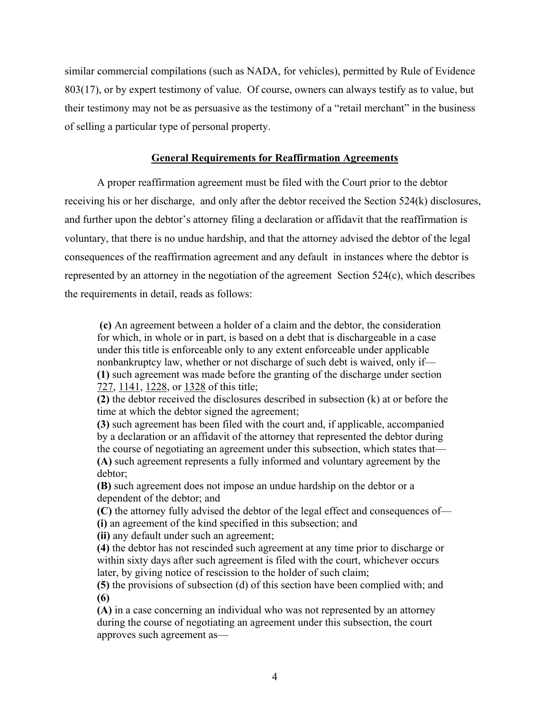similar commercial compilations (such as NADA, for vehicles), permitted by Rule of Evidence 803(17), or by expert testimony of value. Of course, owners can always testify as to value, but their testimony may not be as persuasive as the testimony of a "retail merchant" in the business of selling a particular type of personal property.

# **General Requirements for Reaffirmation Agreements**

 A proper reaffirmation agreement must be filed with the Court prior to the debtor receiving his or her discharge, and only after the debtor received the Section 524(k) disclosures, and further upon the debtor's attorney filing a declaration or affidavit that the reaffirmation is voluntary, that there is no undue hardship, and that the attorney advised the debtor of the legal consequences of the reaffirmation agreement and any default in instances where the debtor is represented by an attorney in the negotiation of the agreement Section 524(c), which describes the requirements in detail, reads as follows:

**(c)** An agreement between a holder of a claim and the debtor, the consideration for which, in whole or in part, is based on a debt that is dischargeable in a case under this title is enforceable only to any extent enforceable under applicable nonbankruptcy law, whether or not discharge of such debt is waived, only if— **(1)** such agreement was made before the granting of the discharge under section 727, 1141, 1228, or 1328 of this title;

**(2)** the debtor received the disclosures described in subsection (k) at or before the time at which the debtor signed the agreement;

**(3)** such agreement has been filed with the court and, if applicable, accompanied by a declaration or an affidavit of the attorney that represented the debtor during the course of negotiating an agreement under this subsection, which states that— **(A)** such agreement represents a fully informed and voluntary agreement by the debtor;

**(B)** such agreement does not impose an undue hardship on the debtor or a dependent of the debtor; and

**(C)** the attorney fully advised the debtor of the legal effect and consequences of— **(i)** an agreement of the kind specified in this subsection; and

**(ii)** any default under such an agreement;

**(4)** the debtor has not rescinded such agreement at any time prior to discharge or within sixty days after such agreement is filed with the court, whichever occurs later, by giving notice of rescission to the holder of such claim;

**(5)** the provisions of subsection (d) of this section have been complied with; and **(6)**

**(A)** in a case concerning an individual who was not represented by an attorney during the course of negotiating an agreement under this subsection, the court approves such agreement as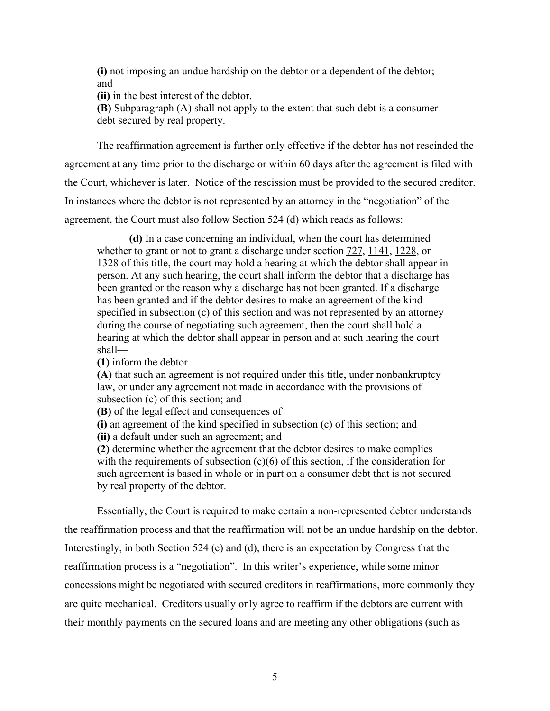**(i)** not imposing an undue hardship on the debtor or a dependent of the debtor; and

**(ii)** in the best interest of the debtor.

**(B)** Subparagraph (A) shall not apply to the extent that such debt is a consumer debt secured by real property.

 The reaffirmation agreement is further only effective if the debtor has not rescinded the agreement at any time prior to the discharge or within 60 days after the agreement is filed with the Court, whichever is later. Notice of the rescission must be provided to the secured creditor. In instances where the debtor is not represented by an attorney in the "negotiation" of the agreement, the Court must also follow Section 524 (d) which reads as follows:

**(d)** In a case concerning an individual, when the court has determined whether to grant or not to grant a discharge under section 727, 1141, 1228, or 1328 of this title, the court may hold a hearing at which the debtor shall appear in person. At any such hearing, the court shall inform the debtor that a discharge has been granted or the reason why a discharge has not been granted. If a discharge has been granted and if the debtor desires to make an agreement of the kind specified in subsection (c) of this section and was not represented by an attorney during the course of negotiating such agreement, then the court shall hold a hearing at which the debtor shall appear in person and at such hearing the court shall—

**(1)** inform the debtor—

**(A)** that such an agreement is not required under this title, under nonbankruptcy law, or under any agreement not made in accordance with the provisions of subsection (c) of this section; and

**(B)** of the legal effect and consequences of—

**(i)** an agreement of the kind specified in subsection (c) of this section; and **(ii)** a default under such an agreement; and

**(2)** determine whether the agreement that the debtor desires to make complies with the requirements of subsection  $(c)(6)$  of this section, if the consideration for such agreement is based in whole or in part on a consumer debt that is not secured by real property of the debtor.

Essentially, the Court is required to make certain a non-represented debtor understands the reaffirmation process and that the reaffirmation will not be an undue hardship on the debtor. Interestingly, in both Section 524 (c) and (d), there is an expectation by Congress that the reaffirmation process is a "negotiation". In this writer's experience, while some minor concessions might be negotiated with secured creditors in reaffirmations, more commonly they are quite mechanical. Creditors usually only agree to reaffirm if the debtors are current with their monthly payments on the secured loans and are meeting any other obligations (such as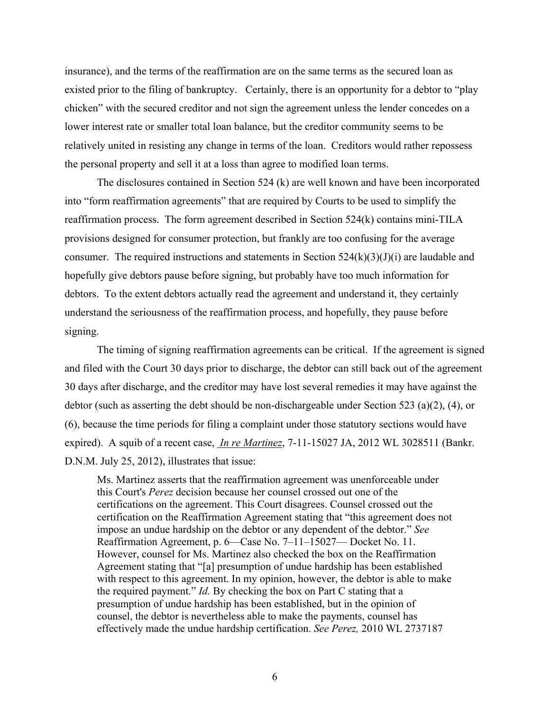insurance), and the terms of the reaffirmation are on the same terms as the secured loan as existed prior to the filing of bankruptcy. Certainly, there is an opportunity for a debtor to "play chicken" with the secured creditor and not sign the agreement unless the lender concedes on a lower interest rate or smaller total loan balance, but the creditor community seems to be relatively united in resisting any change in terms of the loan. Creditors would rather repossess the personal property and sell it at a loss than agree to modified loan terms.

The disclosures contained in Section 524 (k) are well known and have been incorporated into "form reaffirmation agreements" that are required by Courts to be used to simplify the reaffirmation process. The form agreement described in Section 524(k) contains mini-TILA provisions designed for consumer protection, but frankly are too confusing for the average consumer. The required instructions and statements in Section  $524(k)(3)(J)(i)$  are laudable and hopefully give debtors pause before signing, but probably have too much information for debtors. To the extent debtors actually read the agreement and understand it, they certainly understand the seriousness of the reaffirmation process, and hopefully, they pause before signing.

The timing of signing reaffirmation agreements can be critical. If the agreement is signed and filed with the Court 30 days prior to discharge, the debtor can still back out of the agreement 30 days after discharge, and the creditor may have lost several remedies it may have against the debtor (such as asserting the debt should be non-dischargeable under Section 523 (a)(2), (4), or (6), because the time periods for filing a complaint under those statutory sections would have expired). A squib of a recent case, *In re Martinez*, 7-11-15027 JA, 2012 WL 3028511 (Bankr. D.N.M. July 25, 2012), illustrates that issue:

Ms. Martinez asserts that the reaffirmation agreement was unenforceable under this Court's *Perez* decision because her counsel crossed out one of the certifications on the agreement. This Court disagrees. Counsel crossed out the certification on the Reaffirmation Agreement stating that "this agreement does not impose an undue hardship on the debtor or any dependent of the debtor." *See* Reaffirmation Agreement, p. 6—Case No. 7–11–15027— Docket No. 11. However, counsel for Ms. Martinez also checked the box on the Reaffirmation Agreement stating that "[a] presumption of undue hardship has been established with respect to this agreement. In my opinion, however, the debtor is able to make the required payment." *Id.* By checking the box on Part C stating that a presumption of undue hardship has been established, but in the opinion of counsel, the debtor is nevertheless able to make the payments, counsel has effectively made the undue hardship certification. *See Perez,* 2010 WL 2737187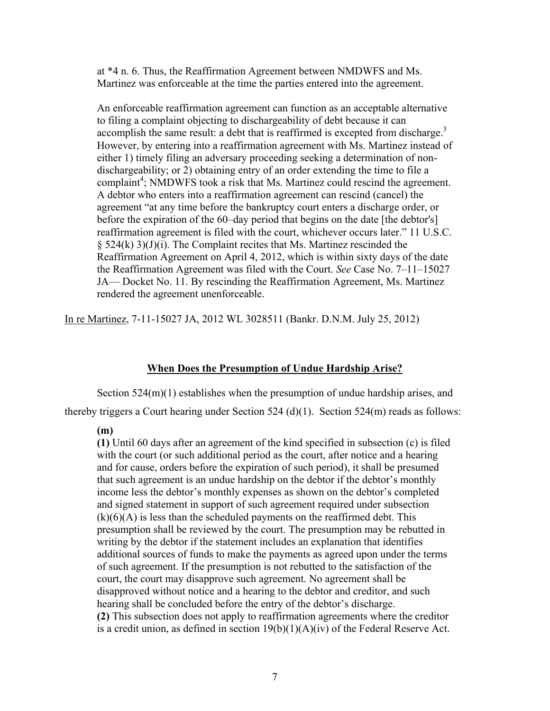at \*4 n. 6. Thus, the Reaffirmation Agreement between NMDWFS and Ms. Martinez was enforceable at the time the parties entered into the agreement.

An enforceable reaffirmation agreement can function as an acceptable alternative to filing a complaint objecting to dischargeability of debt because it can accomplish the same result: a debt that is reaffirmed is excepted from discharge.<sup>3</sup> However, by entering into a reaffirmation agreement with Ms. Martinez instead of either 1) timely filing an adversary proceeding seeking a determination of nondischargeability; or 2) obtaining entry of an order extending the time to file a complaint<sup>4</sup>; NMDWFS took a risk that Ms. Martinez could rescind the agreement. A debtor who enters into a reaffirmation agreement can rescind (cancel) the agreement "at any time before the bankruptcy court enters a discharge order, or before the expiration of the 60–day period that begins on the date [the debtor's] reaffirmation agreement is filed with the court, whichever occurs later." 11 U.S.C.  $\S$  524(k) 3)(J)(i). The Complaint recites that Ms. Martinez rescinded the Reaffirmation Agreement on April 4, 2012, which is within sixty days of the date the Reaffirmation Agreement was filed with the Court. *See* Case No. 7–11–15027 JA— Docket No. 11. By rescinding the Reaffirmation Agreement, Ms. Martinez rendered the agreement unenforceable.

In re Martinez, 7-11-15027 JA, 2012 WL 3028511 (Bankr. D.N.M. July 25, 2012)

# **When Does the Presumption of Undue Hardship Arise?**

 Section 524(m)(1) establishes when the presumption of undue hardship arises, and thereby triggers a Court hearing under Section 524 (d)(1). Section 524(m) reads as follows:

# **(m)**

**(1)** Until 60 days after an agreement of the kind specified in subsection (c) is filed with the court (or such additional period as the court, after notice and a hearing and for cause, orders before the expiration of such period), it shall be presumed that such agreement is an undue hardship on the debtor if the debtor's monthly income less the debtor's monthly expenses as shown on the debtor's completed and signed statement in support of such agreement required under subsection  $(k)(6)(A)$  is less than the scheduled payments on the reaffirmed debt. This presumption shall be reviewed by the court. The presumption may be rebutted in writing by the debtor if the statement includes an explanation that identifies additional sources of funds to make the payments as agreed upon under the terms of such agreement. If the presumption is not rebutted to the satisfaction of the court, the court may disapprove such agreement. No agreement shall be disapproved without notice and a hearing to the debtor and creditor, and such hearing shall be concluded before the entry of the debtor's discharge. **(2)** This subsection does not apply to reaffirmation agreements where the creditor is a credit union, as defined in section  $19(b)(1)(A)(iv)$  of the Federal Reserve Act.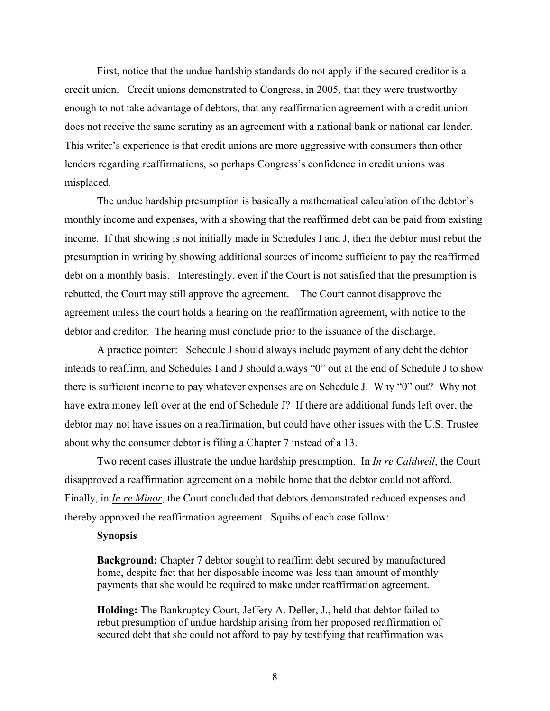First, notice that the undue hardship standards do not apply if the secured creditor is a credit union. Credit unions demonstrated to Congress, in 2005, that they were trustworthy enough to not take advantage of debtors, that any reaffirmation agreement with a credit union does not receive the same scrutiny as an agreement with a national bank or national car lender. This writer's experience is that credit unions are more aggressive with consumers than other lenders regarding reaffirmations, so perhaps Congress's confidence in credit unions was misplaced.

 The undue hardship presumption is basically a mathematical calculation of the debtor's monthly income and expenses, with a showing that the reaffirmed debt can be paid from existing income. If that showing is not initially made in Schedules I and J, then the debtor must rebut the presumption in writing by showing additional sources of income sufficient to pay the reaffirmed debt on a monthly basis. Interestingly, even if the Court is not satisfied that the presumption is rebutted, the Court may still approve the agreement. The Court cannot disapprove the agreement unless the court holds a hearing on the reaffirmation agreement, with notice to the debtor and creditor. The hearing must conclude prior to the issuance of the discharge.

 A practice pointer: Schedule J should always include payment of any debt the debtor intends to reaffirm, and Schedules I and J should always "0" out at the end of Schedule J to show there is sufficient income to pay whatever expenses are on Schedule J. Why "0" out? Why not have extra money left over at the end of Schedule J? If there are additional funds left over, the debtor may not have issues on a reaffirmation, but could have other issues with the U.S. Trustee about why the consumer debtor is filing a Chapter 7 instead of a 13.

 Two recent cases illustrate the undue hardship presumption. In *In re Caldwell*, the Court disapproved a reaffirmation agreement on a mobile home that the debtor could not afford. Finally, in *In re Minor*, the Court concluded that debtors demonstrated reduced expenses and thereby approved the reaffirmation agreement. Squibs of each case follow:

## **Synopsis**

**Background:** Chapter 7 debtor sought to reaffirm debt secured by manufactured home, despite fact that her disposable income was less than amount of monthly payments that she would be required to make under reaffirmation agreement.

**Holding:** The Bankruptcy Court, Jeffery A. Deller, J., held that debtor failed to rebut presumption of undue hardship arising from her proposed reaffirmation of secured debt that she could not afford to pay by testifying that reaffirmation was

8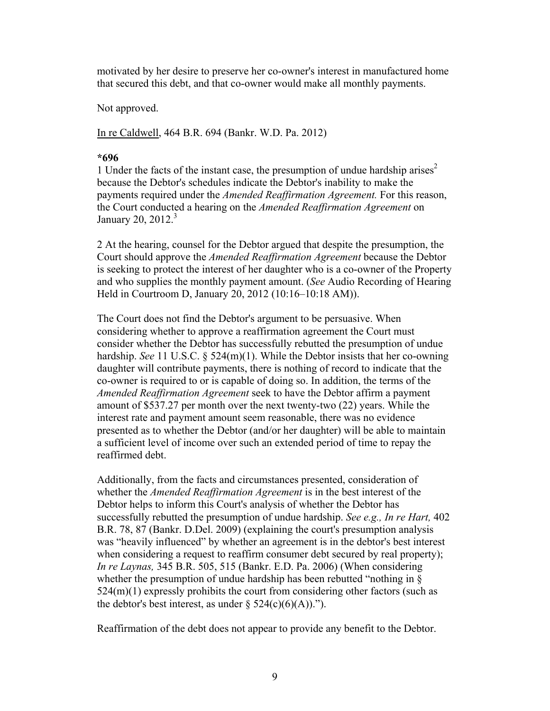motivated by her desire to preserve her co-owner's interest in manufactured home that secured this debt, and that co-owner would make all monthly payments.

Not approved.

In re Caldwell, 464 B.R. 694 (Bankr. W.D. Pa. 2012)

# **\*696**

1 Under the facts of the instant case, the presumption of undue hardship arises<sup>2</sup> because the Debtor's schedules indicate the Debtor's inability to make the payments required under the *Amended Reaffirmation Agreement.* For this reason, the Court conducted a hearing on the *Amended Reaffirmation Agreement* on January 20,  $2012.<sup>3</sup>$ 

2 At the hearing, counsel for the Debtor argued that despite the presumption, the Court should approve the *Amended Reaffirmation Agreement* because the Debtor is seeking to protect the interest of her daughter who is a co-owner of the Property and who supplies the monthly payment amount. (*See* Audio Recording of Hearing Held in Courtroom D, January 20, 2012 (10:16–10:18 AM)).

The Court does not find the Debtor's argument to be persuasive. When considering whether to approve a reaffirmation agreement the Court must consider whether the Debtor has successfully rebutted the presumption of undue hardship. *See* 11 U.S.C. § 524(m)(1). While the Debtor insists that her co-owning daughter will contribute payments, there is nothing of record to indicate that the co-owner is required to or is capable of doing so. In addition, the terms of the *Amended Reaffirmation Agreement* seek to have the Debtor affirm a payment amount of \$537.27 per month over the next twenty-two (22) years. While the interest rate and payment amount seem reasonable, there was no evidence presented as to whether the Debtor (and/or her daughter) will be able to maintain a sufficient level of income over such an extended period of time to repay the reaffirmed debt.

Additionally, from the facts and circumstances presented, consideration of whether the *Amended Reaffirmation Agreement* is in the best interest of the Debtor helps to inform this Court's analysis of whether the Debtor has successfully rebutted the presumption of undue hardship. *See e.g., In re Hart,* 402 B.R. 78, 87 (Bankr. D.Del. 2009) (explaining the court's presumption analysis was "heavily influenced" by whether an agreement is in the debtor's best interest when considering a request to reaffirm consumer debt secured by real property); *In re Laynas,* 345 B.R. 505, 515 (Bankr. E.D. Pa. 2006) (When considering whether the presumption of undue hardship has been rebutted "nothing in  $\S$  $524(m)(1)$  expressly prohibits the court from considering other factors (such as the debtor's best interest, as under  $\S$  524(c)(6)(A)).").

Reaffirmation of the debt does not appear to provide any benefit to the Debtor.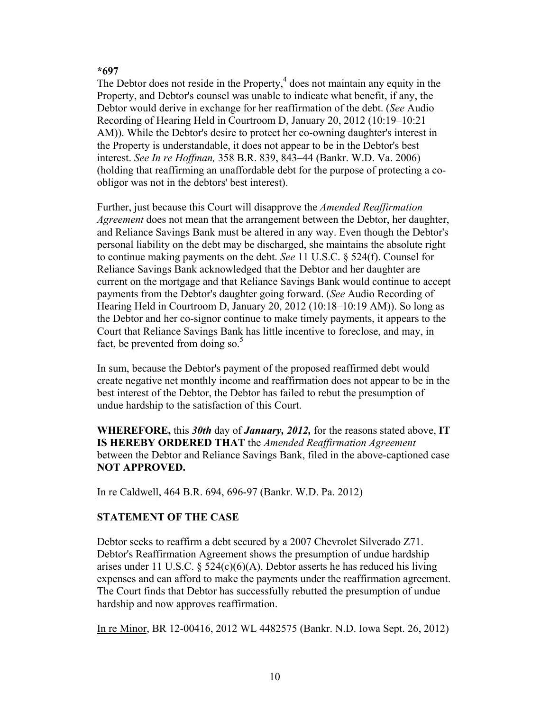# **\*697**

The Debtor does not reside in the Property, $4$  does not maintain any equity in the Property, and Debtor's counsel was unable to indicate what benefit, if any, the Debtor would derive in exchange for her reaffirmation of the debt. (*See* Audio Recording of Hearing Held in Courtroom D, January 20, 2012 (10:19–10:21 AM)). While the Debtor's desire to protect her co-owning daughter's interest in the Property is understandable, it does not appear to be in the Debtor's best interest. *See In re Hoffman,* 358 B.R. 839, 843–44 (Bankr. W.D. Va. 2006) (holding that reaffirming an unaffordable debt for the purpose of protecting a coobligor was not in the debtors' best interest).

Further, just because this Court will disapprove the *Amended Reaffirmation Agreement* does not mean that the arrangement between the Debtor, her daughter, and Reliance Savings Bank must be altered in any way. Even though the Debtor's personal liability on the debt may be discharged, she maintains the absolute right to continue making payments on the debt. *See* 11 U.S.C. § 524(f). Counsel for Reliance Savings Bank acknowledged that the Debtor and her daughter are current on the mortgage and that Reliance Savings Bank would continue to accept payments from the Debtor's daughter going forward. (*See* Audio Recording of Hearing Held in Courtroom D, January 20, 2012 (10:18–10:19 AM)). So long as the Debtor and her co-signor continue to make timely payments, it appears to the Court that Reliance Savings Bank has little incentive to foreclose, and may, in fact, be prevented from doing so. $5$ 

In sum, because the Debtor's payment of the proposed reaffirmed debt would create negative net monthly income and reaffirmation does not appear to be in the best interest of the Debtor, the Debtor has failed to rebut the presumption of undue hardship to the satisfaction of this Court.

**WHEREFORE,** this *30th* day of *January, 2012,* for the reasons stated above, **IT IS HEREBY ORDERED THAT** the *Amended Reaffirmation Agreement* between the Debtor and Reliance Savings Bank, filed in the above-captioned case **NOT APPROVED.**

In re Caldwell, 464 B.R. 694, 696-97 (Bankr. W.D. Pa. 2012)

# **STATEMENT OF THE CASE**

Debtor seeks to reaffirm a debt secured by a 2007 Chevrolet Silverado Z71. Debtor's Reaffirmation Agreement shows the presumption of undue hardship arises under 11 U.S.C.  $\S$  524(c)(6)(A). Debtor asserts he has reduced his living expenses and can afford to make the payments under the reaffirmation agreement. The Court finds that Debtor has successfully rebutted the presumption of undue hardship and now approves reaffirmation.

In re Minor, BR 12-00416, 2012 WL 4482575 (Bankr. N.D. Iowa Sept. 26, 2012)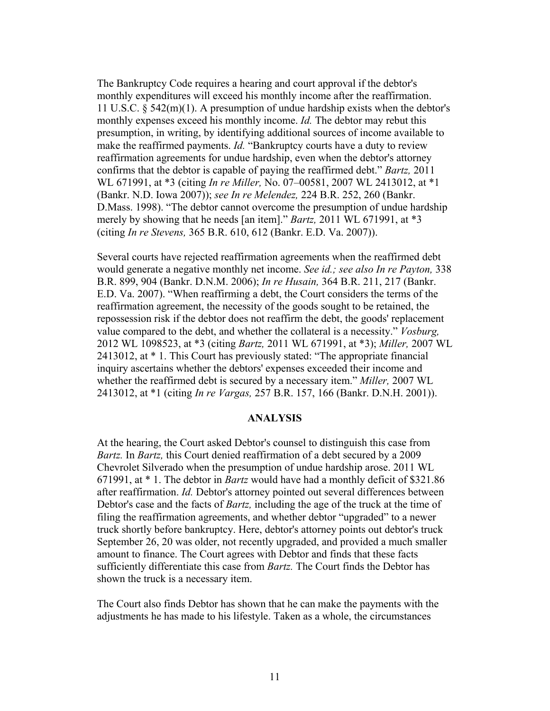The Bankruptcy Code requires a hearing and court approval if the debtor's monthly expenditures will exceed his monthly income after the reaffirmation. 11 U.S.C. § 542(m)(1). A presumption of undue hardship exists when the debtor's monthly expenses exceed his monthly income. *Id.* The debtor may rebut this presumption, in writing, by identifying additional sources of income available to make the reaffirmed payments. *Id.* "Bankruptcy courts have a duty to review reaffirmation agreements for undue hardship, even when the debtor's attorney confirms that the debtor is capable of paying the reaffirmed debt." *Bartz,* 2011 WL 671991, at \*3 (citing *In re Miller,* No. 07–00581, 2007 WL 2413012, at \*1 (Bankr. N.D. Iowa 2007)); *see In re Melendez,* 224 B.R. 252, 260 (Bankr. D.Mass. 1998). "The debtor cannot overcome the presumption of undue hardship merely by showing that he needs [an item]." *Bartz,* 2011 WL 671991, at \*3 (citing *In re Stevens,* 365 B.R. 610, 612 (Bankr. E.D. Va. 2007)).

Several courts have rejected reaffirmation agreements when the reaffirmed debt would generate a negative monthly net income. *See id.; see also In re Payton,* 338 B.R. 899, 904 (Bankr. D.N.M. 2006); *In re Husain,* 364 B.R. 211, 217 (Bankr. E.D. Va. 2007). "When reaffirming a debt, the Court considers the terms of the reaffirmation agreement, the necessity of the goods sought to be retained, the repossession risk if the debtor does not reaffirm the debt, the goods' replacement value compared to the debt, and whether the collateral is a necessity." *Vosburg,* 2012 WL 1098523, at \*3 (citing *Bartz,* 2011 WL 671991, at \*3); *Miller,* 2007 WL 2413012, at \* 1. This Court has previously stated: "The appropriate financial inquiry ascertains whether the debtors' expenses exceeded their income and whether the reaffirmed debt is secured by a necessary item." *Miller,* 2007 WL 2413012, at \*1 (citing *In re Vargas,* 257 B.R. 157, 166 (Bankr. D.N.H. 2001)).

# **ANALYSIS**

At the hearing, the Court asked Debtor's counsel to distinguish this case from *Bartz.* In *Bartz,* this Court denied reaffirmation of a debt secured by a 2009 Chevrolet Silverado when the presumption of undue hardship arose. 2011 WL 671991, at \* 1. The debtor in *Bartz* would have had a monthly deficit of \$321.86 after reaffirmation. *Id.* Debtor's attorney pointed out several differences between Debtor's case and the facts of *Bartz,* including the age of the truck at the time of filing the reaffirmation agreements, and whether debtor "upgraded" to a newer truck shortly before bankruptcy. Here, debtor's attorney points out debtor's truck September 26, 20 was older, not recently upgraded, and provided a much smaller amount to finance. The Court agrees with Debtor and finds that these facts sufficiently differentiate this case from *Bartz.* The Court finds the Debtor has shown the truck is a necessary item.

The Court also finds Debtor has shown that he can make the payments with the adjustments he has made to his lifestyle. Taken as a whole, the circumstances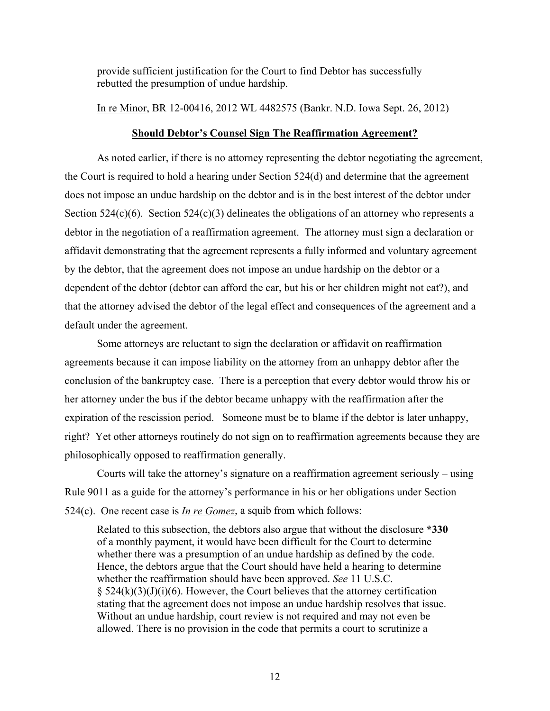provide sufficient justification for the Court to find Debtor has successfully rebutted the presumption of undue hardship.

In re Minor, BR 12-00416, 2012 WL 4482575 (Bankr. N.D. Iowa Sept. 26, 2012)

# **Should Debtor's Counsel Sign The Reaffirmation Agreement?**

 As noted earlier, if there is no attorney representing the debtor negotiating the agreement, the Court is required to hold a hearing under Section 524(d) and determine that the agreement does not impose an undue hardship on the debtor and is in the best interest of the debtor under Section 524(c)(6). Section 524(c)(3) delineates the obligations of an attorney who represents a debtor in the negotiation of a reaffirmation agreement. The attorney must sign a declaration or affidavit demonstrating that the agreement represents a fully informed and voluntary agreement by the debtor, that the agreement does not impose an undue hardship on the debtor or a dependent of the debtor (debtor can afford the car, but his or her children might not eat?), and that the attorney advised the debtor of the legal effect and consequences of the agreement and a default under the agreement.

 Some attorneys are reluctant to sign the declaration or affidavit on reaffirmation agreements because it can impose liability on the attorney from an unhappy debtor after the conclusion of the bankruptcy case. There is a perception that every debtor would throw his or her attorney under the bus if the debtor became unhappy with the reaffirmation after the expiration of the rescission period. Someone must be to blame if the debtor is later unhappy, right? Yet other attorneys routinely do not sign on to reaffirmation agreements because they are philosophically opposed to reaffirmation generally.

 Courts will take the attorney's signature on a reaffirmation agreement seriously – using Rule 9011 as a guide for the attorney's performance in his or her obligations under Section 524(c). One recent case is *In re Gomez*, a squib from which follows:

Related to this subsection, the debtors also argue that without the disclosure **\*330** of a monthly payment, it would have been difficult for the Court to determine whether there was a presumption of an undue hardship as defined by the code. Hence, the debtors argue that the Court should have held a hearing to determine whether the reaffirmation should have been approved. *See* 11 U.S.C.  $§$  524(k)(3)(J)(i)(6). However, the Court believes that the attorney certification stating that the agreement does not impose an undue hardship resolves that issue. Without an undue hardship, court review is not required and may not even be allowed. There is no provision in the code that permits a court to scrutinize a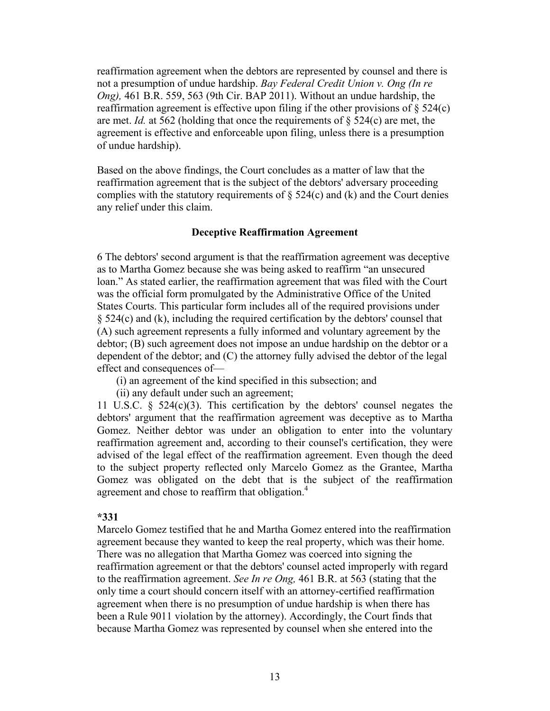reaffirmation agreement when the debtors are represented by counsel and there is not a presumption of undue hardship. *Bay Federal Credit Union v. Ong (In re Ong),* 461 B.R. 559, 563 (9th Cir. BAP 2011). Without an undue hardship, the reaffirmation agreement is effective upon filing if the other provisions of  $\S$  524(c) are met. *Id.* at 562 (holding that once the requirements of  $\S$  524(c) are met, the agreement is effective and enforceable upon filing, unless there is a presumption of undue hardship).

Based on the above findings, the Court concludes as a matter of law that the reaffirmation agreement that is the subject of the debtors' adversary proceeding complies with the statutory requirements of  $\S$  524(c) and (k) and the Court denies any relief under this claim.

# **Deceptive Reaffirmation Agreement**

6 The debtors' second argument is that the reaffirmation agreement was deceptive as to Martha Gomez because she was being asked to reaffirm "an unsecured loan." As stated earlier, the reaffirmation agreement that was filed with the Court was the official form promulgated by the Administrative Office of the United States Courts. This particular form includes all of the required provisions under § 524(c) and (k), including the required certification by the debtors' counsel that (A) such agreement represents a fully informed and voluntary agreement by the debtor; (B) such agreement does not impose an undue hardship on the debtor or a dependent of the debtor; and (C) the attorney fully advised the debtor of the legal effect and consequences of—

(i) an agreement of the kind specified in this subsection; and

(ii) any default under such an agreement;

11 U.S.C. § 524(c)(3). This certification by the debtors' counsel negates the debtors' argument that the reaffirmation agreement was deceptive as to Martha Gomez. Neither debtor was under an obligation to enter into the voluntary reaffirmation agreement and, according to their counsel's certification, they were advised of the legal effect of the reaffirmation agreement. Even though the deed to the subject property reflected only Marcelo Gomez as the Grantee, Martha Gomez was obligated on the debt that is the subject of the reaffirmation agreement and chose to reaffirm that obligation.<sup>4</sup>

# **\*331**

Marcelo Gomez testified that he and Martha Gomez entered into the reaffirmation agreement because they wanted to keep the real property, which was their home. There was no allegation that Martha Gomez was coerced into signing the reaffirmation agreement or that the debtors' counsel acted improperly with regard to the reaffirmation agreement. *See In re Ong,* 461 B.R. at 563 (stating that the only time a court should concern itself with an attorney-certified reaffirmation agreement when there is no presumption of undue hardship is when there has been a Rule 9011 violation by the attorney). Accordingly, the Court finds that because Martha Gomez was represented by counsel when she entered into the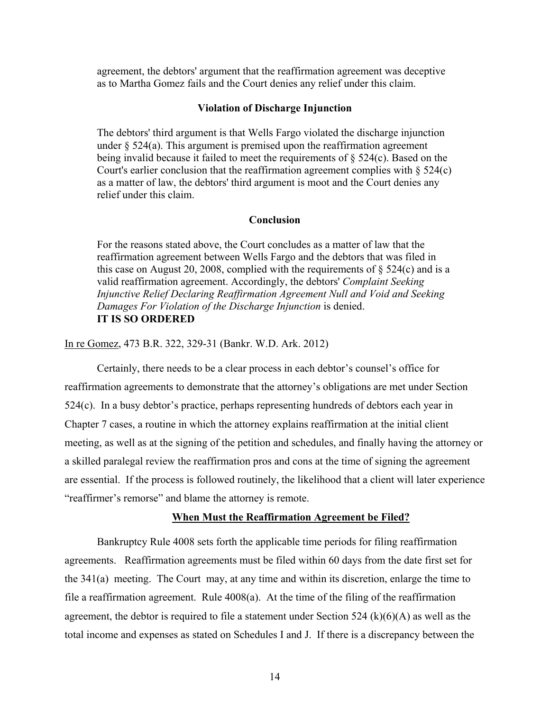agreement, the debtors' argument that the reaffirmation agreement was deceptive as to Martha Gomez fails and the Court denies any relief under this claim.

# **Violation of Discharge Injunction**

The debtors' third argument is that Wells Fargo violated the discharge injunction under § 524(a). This argument is premised upon the reaffirmation agreement being invalid because it failed to meet the requirements of § 524(c). Based on the Court's earlier conclusion that the reaffirmation agreement complies with  $\S$  524(c) as a matter of law, the debtors' third argument is moot and the Court denies any relief under this claim.

# **Conclusion**

For the reasons stated above, the Court concludes as a matter of law that the reaffirmation agreement between Wells Fargo and the debtors that was filed in this case on August 20, 2008, complied with the requirements of  $\S$  524(c) and is a valid reaffirmation agreement. Accordingly, the debtors' *Complaint Seeking Injunctive Relief Declaring Reaffirmation Agreement Null and Void and Seeking Damages For Violation of the Discharge Injunction* is denied. **IT IS SO ORDERED** 

In re Gomez, 473 B.R. 322, 329-31 (Bankr. W.D. Ark. 2012)

Certainly, there needs to be a clear process in each debtor's counsel's office for reaffirmation agreements to demonstrate that the attorney's obligations are met under Section 524(c). In a busy debtor's practice, perhaps representing hundreds of debtors each year in Chapter 7 cases, a routine in which the attorney explains reaffirmation at the initial client meeting, as well as at the signing of the petition and schedules, and finally having the attorney or a skilled paralegal review the reaffirmation pros and cons at the time of signing the agreement are essential. If the process is followed routinely, the likelihood that a client will later experience "reaffirmer's remorse" and blame the attorney is remote.

# **When Must the Reaffirmation Agreement be Filed?**

 Bankruptcy Rule 4008 sets forth the applicable time periods for filing reaffirmation agreements. Reaffirmation agreements must be filed within 60 days from the date first set for the 341(a) meeting. The Court may, at any time and within its discretion, enlarge the time to file a reaffirmation agreement. Rule 4008(a). At the time of the filing of the reaffirmation agreement, the debtor is required to file a statement under Section 524 (k)(6)(A) as well as the total income and expenses as stated on Schedules I and J. If there is a discrepancy between the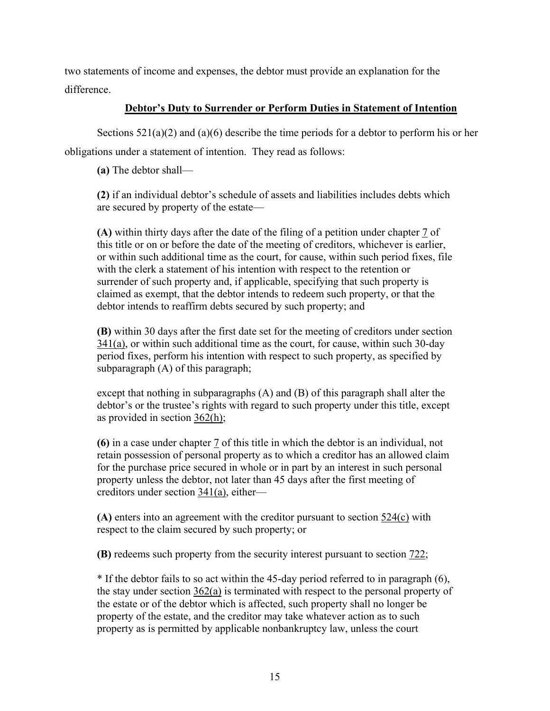two statements of income and expenses, the debtor must provide an explanation for the difference.

# **Debtor's Duty to Surrender or Perform Duties in Statement of Intention**

Sections 521(a)(2) and (a)(6) describe the time periods for a debtor to perform his or her obligations under a statement of intention. They read as follows:

**(a)** The debtor shall—

**(2)** if an individual debtor's schedule of assets and liabilities includes debts which are secured by property of the estate—

**(A)** within thirty days after the date of the filing of a petition under chapter 7 of this title or on or before the date of the meeting of creditors, whichever is earlier, or within such additional time as the court, for cause, within such period fixes, file with the clerk a statement of his intention with respect to the retention or surrender of such property and, if applicable, specifying that such property is claimed as exempt, that the debtor intends to redeem such property, or that the debtor intends to reaffirm debts secured by such property; and

**(B)** within 30 days after the first date set for the meeting of creditors under section  $341(a)$ , or within such additional time as the court, for cause, within such 30-day period fixes, perform his intention with respect to such property, as specified by subparagraph (A) of this paragraph;

except that nothing in subparagraphs (A) and (B) of this paragraph shall alter the debtor's or the trustee's rights with regard to such property under this title, except as provided in section 362(h);

**(6)** in a case under chapter 7 of this title in which the debtor is an individual, not retain possession of personal property as to which a creditor has an allowed claim for the purchase price secured in whole or in part by an interest in such personal property unless the debtor, not later than 45 days after the first meeting of creditors under section 341(a), either—

**(A)** enters into an agreement with the creditor pursuant to section 524(c) with respect to the claim secured by such property; or

**(B)** redeems such property from the security interest pursuant to section 722;

\* If the debtor fails to so act within the 45-day period referred to in paragraph (6), the stay under section 362(a) is terminated with respect to the personal property of the estate or of the debtor which is affected, such property shall no longer be property of the estate, and the creditor may take whatever action as to such property as is permitted by applicable nonbankruptcy law, unless the court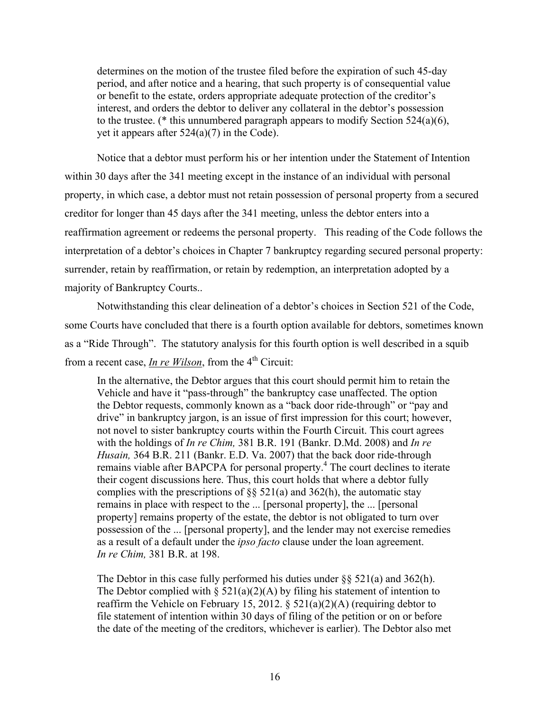determines on the motion of the trustee filed before the expiration of such 45-day period, and after notice and a hearing, that such property is of consequential value or benefit to the estate, orders appropriate adequate protection of the creditor's interest, and orders the debtor to deliver any collateral in the debtor's possession to the trustee. (\* this unnumbered paragraph appears to modify Section 524(a)(6), yet it appears after  $524(a)(7)$  in the Code).

 Notice that a debtor must perform his or her intention under the Statement of Intention within 30 days after the 341 meeting except in the instance of an individual with personal property, in which case, a debtor must not retain possession of personal property from a secured creditor for longer than 45 days after the 341 meeting, unless the debtor enters into a reaffirmation agreement or redeems the personal property. This reading of the Code follows the interpretation of a debtor's choices in Chapter 7 bankruptcy regarding secured personal property: surrender, retain by reaffirmation, or retain by redemption, an interpretation adopted by a majority of Bankruptcy Courts..

 Notwithstanding this clear delineation of a debtor's choices in Section 521 of the Code, some Courts have concluded that there is a fourth option available for debtors, sometimes known as a "Ride Through". The statutory analysis for this fourth option is well described in a squib from a recent case, *In re Wilson*, from the 4<sup>th</sup> Circuit:

In the alternative, the Debtor argues that this court should permit him to retain the Vehicle and have it "pass-through" the bankruptcy case unaffected. The option the Debtor requests, commonly known as a "back door ride-through" or "pay and drive" in bankruptcy jargon, is an issue of first impression for this court; however, not novel to sister bankruptcy courts within the Fourth Circuit. This court agrees with the holdings of *In re Chim,* 381 B.R. 191 (Bankr. D.Md. 2008) and *In re Husain,* 364 B.R. 211 (Bankr. E.D. Va. 2007) that the back door ride-through remains viable after BAPCPA for personal property.<sup>4</sup> The court declines to iterate their cogent discussions here. Thus, this court holds that where a debtor fully complies with the prescriptions of  $\S$ § 521(a) and 362(h), the automatic stay remains in place with respect to the ... [personal property], the ... [personal property] remains property of the estate, the debtor is not obligated to turn over possession of the ... [personal property], and the lender may not exercise remedies as a result of a default under the *ipso facto* clause under the loan agreement. *In re Chim,* 381 B.R. at 198.

The Debtor in this case fully performed his duties under  $\S$ § 521(a) and 362(h). The Debtor complied with  $\S$  521(a)(2)(A) by filing his statement of intention to reaffirm the Vehicle on February 15, 2012. §  $521(a)(2)(A)$  (requiring debtor to file statement of intention within 30 days of filing of the petition or on or before the date of the meeting of the creditors, whichever is earlier). The Debtor also met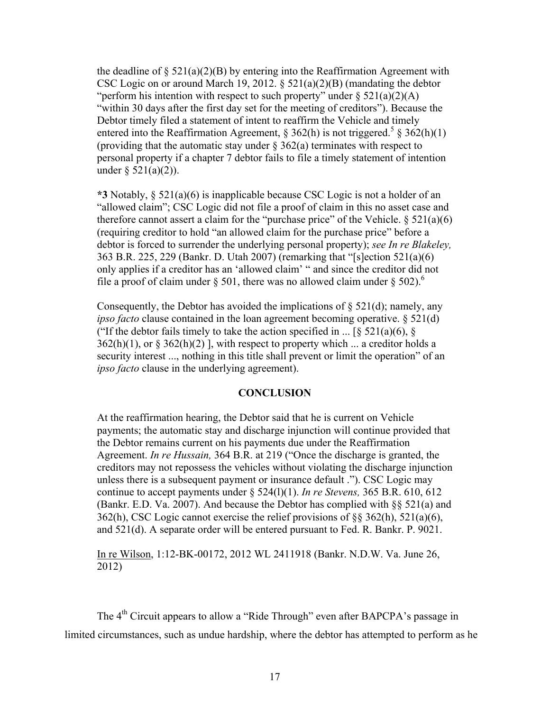the deadline of  $\S 521(a)(2)(B)$  by entering into the Reaffirmation Agreement with CSC Logic on or around March 19, 2012.  $\S$  521(a)(2)(B) (mandating the debtor "perform his intention with respect to such property" under  $\S 521(a)(2)(A)$ "within 30 days after the first day set for the meeting of creditors"). Because the Debtor timely filed a statement of intent to reaffirm the Vehicle and timely entered into the Reaffirmation Agreement, § 362(h) is not triggered.<sup>5</sup> § 362(h)(1) (providing that the automatic stay under  $\S$  362(a) terminates with respect to personal property if a chapter 7 debtor fails to file a timely statement of intention under  $\S 521(a)(2)$ ).

**\*3** Notably, § 521(a)(6) is inapplicable because CSC Logic is not a holder of an "allowed claim"; CSC Logic did not file a proof of claim in this no asset case and therefore cannot assert a claim for the "purchase price" of the Vehicle.  $\S 521(a)(6)$ (requiring creditor to hold "an allowed claim for the purchase price" before a debtor is forced to surrender the underlying personal property); *see In re Blakeley,* 363 B.R. 225, 229 (Bankr. D. Utah 2007) (remarking that "[s]ection 521(a)(6) only applies if a creditor has an 'allowed claim' " and since the creditor did not file a proof of claim under § 501, there was no allowed claim under § 502).<sup>6</sup>

Consequently, the Debtor has avoided the implications of  $\S$  521(d); namely, any *ipso facto* clause contained in the loan agreement becoming operative. § 521(d) ("If the debtor fails timely to take the action specified in ...  $\lceil \xi \cdot 521(a)(6), \xi \rceil$  $362(h)(1)$ , or §  $362(h)(2)$ ], with respect to property which ... a creditor holds a security interest ..., nothing in this title shall prevent or limit the operation" of an *ipso facto* clause in the underlying agreement).

# **CONCLUSION**

At the reaffirmation hearing, the Debtor said that he is current on Vehicle payments; the automatic stay and discharge injunction will continue provided that the Debtor remains current on his payments due under the Reaffirmation Agreement. *In re Hussain,* 364 B.R. at 219 ("Once the discharge is granted, the creditors may not repossess the vehicles without violating the discharge injunction unless there is a subsequent payment or insurance default ."). CSC Logic may continue to accept payments under § 524(l)(1). *In re Stevens,* 365 B.R. 610, 612 (Bankr. E.D. Va. 2007). And because the Debtor has complied with §§ 521(a) and 362(h), CSC Logic cannot exercise the relief provisions of §§ 362(h), 521(a)(6), and 521(d). A separate order will be entered pursuant to Fed. R. Bankr. P. 9021.

In re Wilson, 1:12-BK-00172, 2012 WL 2411918 (Bankr. N.D.W. Va. June 26, 2012)

The 4<sup>th</sup> Circuit appears to allow a "Ride Through" even after BAPCPA's passage in limited circumstances, such as undue hardship, where the debtor has attempted to perform as he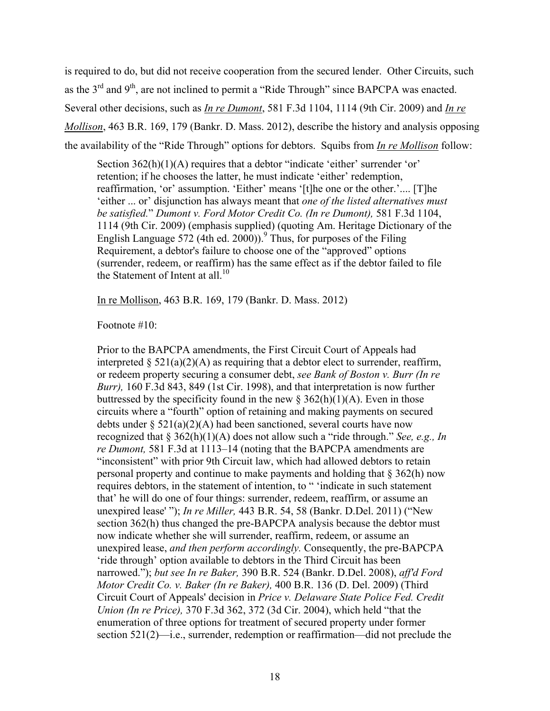is required to do, but did not receive cooperation from the secured lender. Other Circuits, such as the  $3<sup>rd</sup>$  and  $9<sup>th</sup>$ , are not inclined to permit a "Ride Through" since BAPCPA was enacted. Several other decisions, such as *In re Dumont*, 581 F.3d 1104, 1114 (9th Cir. 2009) and *In re Mollison*, 463 B.R. 169, 179 (Bankr. D. Mass. 2012), describe the history and analysis opposing the availability of the "Ride Through" options for debtors. Squibs from *In re Mollison* follow:

Section 362(h)(1)(A) requires that a debtor "indicate 'either' surrender 'or' retention; if he chooses the latter, he must indicate 'either' redemption, reaffirmation, 'or' assumption. 'Either' means '[t]he one or the other.'.... [T]he 'either ... or' disjunction has always meant that *one of the listed alternatives must be satisfied.*" *Dumont v. Ford Motor Credit Co. (In re Dumont),* 581 F.3d 1104, 1114 (9th Cir. 2009) (emphasis supplied) (quoting Am. Heritage Dictionary of the English Language  $\frac{572}{(4th \text{ ed. } 2000))}$ <sup>9</sup> Thus, for purposes of the Filing Requirement, a debtor's failure to choose one of the "approved" options (surrender, redeem, or reaffirm) has the same effect as if the debtor failed to file the Statement of Intent at all  $10^{-10}$ 

In re Mollison, 463 B.R. 169, 179 (Bankr. D. Mass. 2012)

Footnote #10:

Prior to the BAPCPA amendments, the First Circuit Court of Appeals had interpreted  $\S 521(a)(2)(A)$  as requiring that a debtor elect to surrender, reaffirm, or redeem property securing a consumer debt, *see Bank of Boston v. Burr (In re Burr),* 160 F.3d 843, 849 (1st Cir. 1998), and that interpretation is now further buttressed by the specificity found in the new  $\S 362(h)(1)(A)$ . Even in those circuits where a "fourth" option of retaining and making payments on secured debts under  $\S 521(a)(2)(A)$  had been sanctioned, several courts have now recognized that § 362(h)(1)(A) does not allow such a "ride through." *See, e.g., In re Dumont,* 581 F.3d at 1113–14 (noting that the BAPCPA amendments are "inconsistent" with prior 9th Circuit law, which had allowed debtors to retain personal property and continue to make payments and holding that § 362(h) now requires debtors, in the statement of intention, to " 'indicate in such statement that' he will do one of four things: surrender, redeem, reaffirm, or assume an unexpired lease' "); *In re Miller,* 443 B.R. 54, 58 (Bankr. D.Del. 2011) ("New section 362(h) thus changed the pre-BAPCPA analysis because the debtor must now indicate whether she will surrender, reaffirm, redeem, or assume an unexpired lease, *and then perform accordingly.* Consequently, the pre-BAPCPA 'ride through' option available to debtors in the Third Circuit has been narrowed."); *but see In re Baker,* 390 B.R. 524 (Bankr. D.Del. 2008), *aff'd Ford Motor Credit Co. v. Baker (In re Baker),* 400 B.R. 136 (D. Del. 2009) (Third Circuit Court of Appeals' decision in *Price v. Delaware State Police Fed. Credit Union (In re Price),* 370 F.3d 362, 372 (3d Cir. 2004), which held "that the enumeration of three options for treatment of secured property under former section 521(2)—i.e., surrender, redemption or reaffirmation—did not preclude the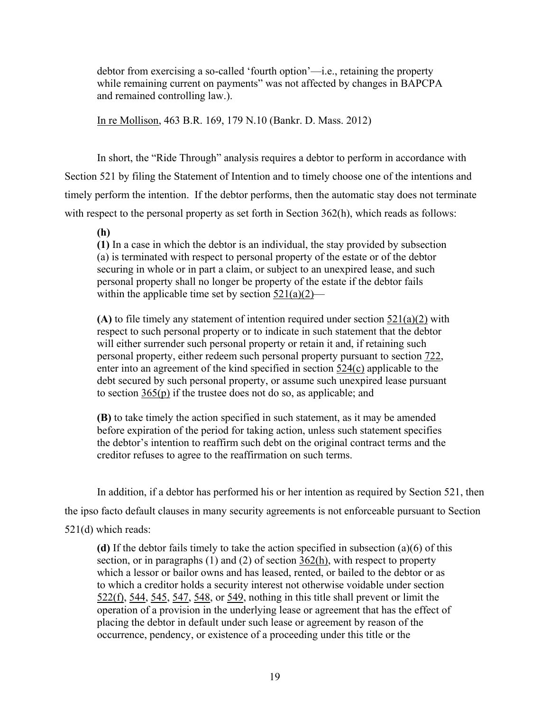debtor from exercising a so-called 'fourth option'—i.e., retaining the property while remaining current on payments" was not affected by changes in BAPCPA and remained controlling law.).

In re Mollison, 463 B.R. 169, 179 N.10 (Bankr. D. Mass. 2012)

 In short, the "Ride Through" analysis requires a debtor to perform in accordance with Section 521 by filing the Statement of Intention and to timely choose one of the intentions and timely perform the intention. If the debtor performs, then the automatic stay does not terminate with respect to the personal property as set forth in Section 362(h), which reads as follows:

**(h)**

**(1)** In a case in which the debtor is an individual, the stay provided by subsection (a) is terminated with respect to personal property of the estate or of the debtor securing in whole or in part a claim, or subject to an unexpired lease, and such personal property shall no longer be property of the estate if the debtor fails within the applicable time set by section  $\frac{521(a)(2)}{}$ 

**(A)** to file timely any statement of intention required under section 521(a)(2) with respect to such personal property or to indicate in such statement that the debtor will either surrender such personal property or retain it and, if retaining such personal property, either redeem such personal property pursuant to section 722, enter into an agreement of the kind specified in section 524(c) applicable to the debt secured by such personal property, or assume such unexpired lease pursuant to section  $365(p)$  if the trustee does not do so, as applicable; and

**(B)** to take timely the action specified in such statement, as it may be amended before expiration of the period for taking action, unless such statement specifies the debtor's intention to reaffirm such debt on the original contract terms and the creditor refuses to agree to the reaffirmation on such terms.

In addition, if a debtor has performed his or her intention as required by Section 521, then

the ipso facto default clauses in many security agreements is not enforceable pursuant to Section 521(d) which reads:

**(d)** If the debtor fails timely to take the action specified in subsection (a)(6) of this section, or in paragraphs (1) and (2) of section 362(h), with respect to property which a lessor or bailor owns and has leased, rented, or bailed to the debtor or as to which a creditor holds a security interest not otherwise voidable under section  $522(f)$ ,  $544$ ,  $545$ ,  $547$ ,  $548$ , or 549, nothing in this title shall prevent or limit the operation of a provision in the underlying lease or agreement that has the effect of placing the debtor in default under such lease or agreement by reason of the occurrence, pendency, or existence of a proceeding under this title or the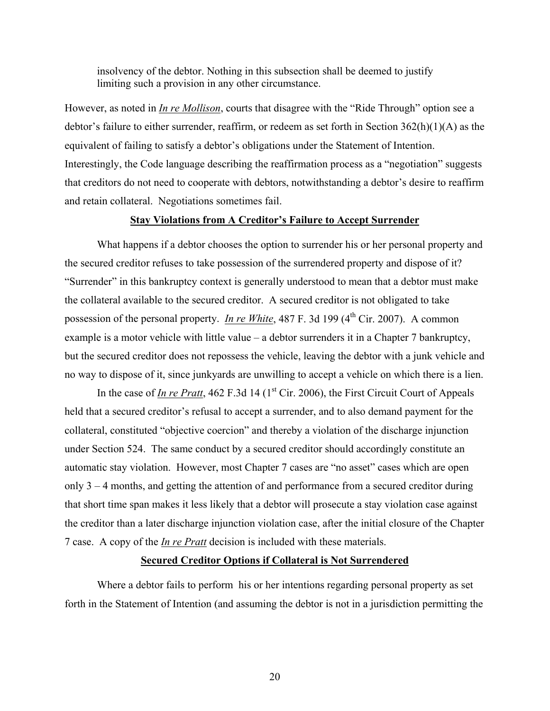insolvency of the debtor. Nothing in this subsection shall be deemed to justify limiting such a provision in any other circumstance.

However, as noted in *In re Mollison*, courts that disagree with the "Ride Through" option see a debtor's failure to either surrender, reaffirm, or redeem as set forth in Section  $362(h)(1)(A)$  as the equivalent of failing to satisfy a debtor's obligations under the Statement of Intention. Interestingly, the Code language describing the reaffirmation process as a "negotiation" suggests that creditors do not need to cooperate with debtors, notwithstanding a debtor's desire to reaffirm and retain collateral. Negotiations sometimes fail.

# **Stay Violations from A Creditor's Failure to Accept Surrender**

 What happens if a debtor chooses the option to surrender his or her personal property and the secured creditor refuses to take possession of the surrendered property and dispose of it? "Surrender" in this bankruptcy context is generally understood to mean that a debtor must make the collateral available to the secured creditor. A secured creditor is not obligated to take possession of the personal property. *In re White*, 487 F. 3d 199 (4<sup>th</sup> Cir. 2007). A common example is a motor vehicle with little value – a debtor surrenders it in a Chapter 7 bankruptcy, but the secured creditor does not repossess the vehicle, leaving the debtor with a junk vehicle and no way to dispose of it, since junkyards are unwilling to accept a vehicle on which there is a lien.

In the case of <u>In re Pratt</u>, 462 F.3d 14 ( $1<sup>st</sup> Cir. 2006$ ), the First Circuit Court of Appeals held that a secured creditor's refusal to accept a surrender, and to also demand payment for the collateral, constituted "objective coercion" and thereby a violation of the discharge injunction under Section 524. The same conduct by a secured creditor should accordingly constitute an automatic stay violation. However, most Chapter 7 cases are "no asset" cases which are open only 3 – 4 months, and getting the attention of and performance from a secured creditor during that short time span makes it less likely that a debtor will prosecute a stay violation case against the creditor than a later discharge injunction violation case, after the initial closure of the Chapter 7 case. A copy of the *In re Pratt* decision is included with these materials.

# **Secured Creditor Options if Collateral is Not Surrendered**

 Where a debtor fails to perform his or her intentions regarding personal property as set forth in the Statement of Intention (and assuming the debtor is not in a jurisdiction permitting the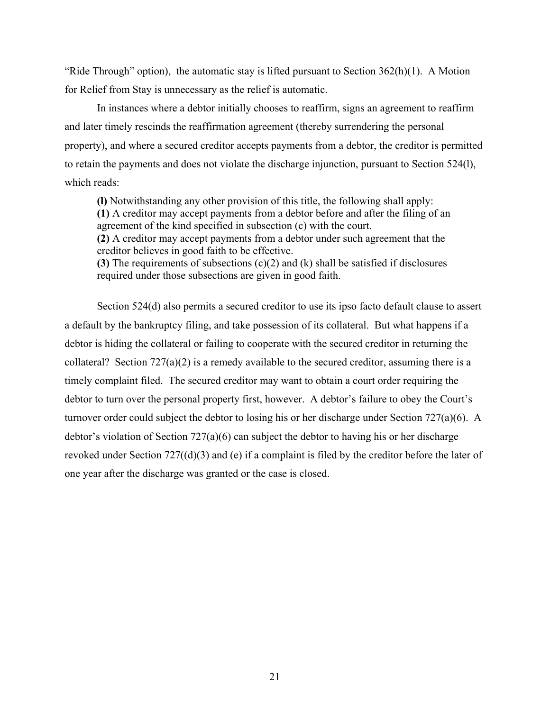"Ride Through" option), the automatic stay is lifted pursuant to Section  $362(h)(1)$ . A Motion for Relief from Stay is unnecessary as the relief is automatic.

In instances where a debtor initially chooses to reaffirm, signs an agreement to reaffirm and later timely rescinds the reaffirmation agreement (thereby surrendering the personal property), and where a secured creditor accepts payments from a debtor, the creditor is permitted to retain the payments and does not violate the discharge injunction, pursuant to Section 524(l), which reads:

**(l)** Notwithstanding any other provision of this title, the following shall apply: **(1)** A creditor may accept payments from a debtor before and after the filing of an agreement of the kind specified in subsection (c) with the court. **(2)** A creditor may accept payments from a debtor under such agreement that the creditor believes in good faith to be effective. **(3)** The requirements of subsections (c)(2) and (k) shall be satisfied if disclosures required under those subsections are given in good faith.

 Section 524(d) also permits a secured creditor to use its ipso facto default clause to assert a default by the bankruptcy filing, and take possession of its collateral. But what happens if a debtor is hiding the collateral or failing to cooperate with the secured creditor in returning the collateral? Section 727(a)(2) is a remedy available to the secured creditor, assuming there is a timely complaint filed. The secured creditor may want to obtain a court order requiring the debtor to turn over the personal property first, however. A debtor's failure to obey the Court's turnover order could subject the debtor to losing his or her discharge under Section 727(a)(6). A debtor's violation of Section 727(a)(6) can subject the debtor to having his or her discharge revoked under Section 727((d)(3) and (e) if a complaint is filed by the creditor before the later of one year after the discharge was granted or the case is closed.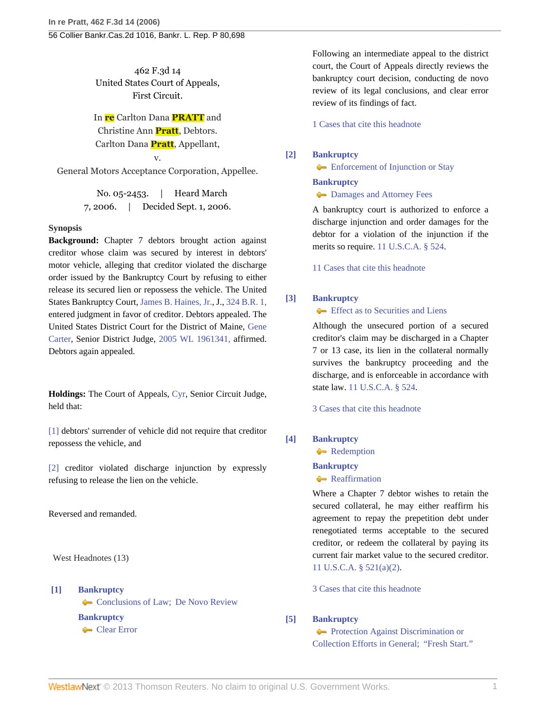462 F.3d 14 United States Court of Appeals, First Circuit.

In **re** Carlton Dana **PRATT** and Christine Ann **Pratt**, Debtors. Carlton Dana **Pratt**, Appellant,

v. General Motors Acceptance Corporation, Appellee.

> No. 05-2453. | Heard March 7, 2006. | Decided Sept. 1, 2006.

### **Synopsis**

**Background:** Chapter 7 debtors brought action against creditor whose claim was secured by interest in debtors' motor vehicle, alleging that creditor violated the discharge order issued by the Bankruptcy Court by refusing to either release its secured lien or repossess the vehicle. The United States Bankruptcy Court, [James B. Haines, Jr.](http://www.westlaw.com/Link/Document/FullText?findType=h&pubNum=176284&cite=0173186901&originatingDoc=I189f0c7139fc11dbbb4d83d7c3c3a165&refType=RQ&originationContext=document&vr=3.0&rs=cblt1.0&transitionType=DocumentItem&contextData=(sc.Search)), J., [324 B.R. 1,](http://www.westlaw.com/Link/Document/FullText?findType=Y&serNum=2006520493&pubNum=164&originationContext=document&vr=3.0&rs=cblt1.0&transitionType=DocumentItem&contextData=(sc.Search)) entered judgment in favor of creditor. Debtors appealed. The United States District Court for the District of Maine, [Gene](http://www.westlaw.com/Link/Document/FullText?findType=h&pubNum=176284&cite=0264045901&originatingDoc=I189f0c7139fc11dbbb4d83d7c3c3a165&refType=RQ&originationContext=document&vr=3.0&rs=cblt1.0&transitionType=DocumentItem&contextData=(sc.Search)) [Carter,](http://www.westlaw.com/Link/Document/FullText?findType=h&pubNum=176284&cite=0264045901&originatingDoc=I189f0c7139fc11dbbb4d83d7c3c3a165&refType=RQ&originationContext=document&vr=3.0&rs=cblt1.0&transitionType=DocumentItem&contextData=(sc.Search)) Senior District Judge, [2005 WL 1961341,](http://www.westlaw.com/Link/Document/FullText?findType=Y&serNum=2007143018&pubNum=999&originationContext=document&vr=3.0&rs=cblt1.0&transitionType=DocumentItem&contextData=(sc.Search)) affirmed. Debtors again appealed.

**Holdings:** The Court of Appeals, [Cyr](http://www.westlaw.com/Link/Document/FullText?findType=h&pubNum=176284&cite=0264045201&originatingDoc=I189f0c7139fc11dbbb4d83d7c3c3a165&refType=RQ&originationContext=document&vr=3.0&rs=cblt1.0&transitionType=DocumentItem&contextData=(sc.Search)), Senior Circuit Judge, held that:

[\[1\]](#page-22-0) debtors' surrender of vehicle did not require that creditor repossess the vehicle, and

[\[2\]](#page-22-1) creditor violated discharge injunction by expressly refusing to release the lien on the vehicle.

Reversed and remanded.

West Headnotes (13)

### <span id="page-21-0"></span>**[\[1\]](#page-24-0) [Bankruptcy](http://www.westlaw.com/Browse/Home/KeyNumber/51/View.html?docGuid=I189f0c7139fc11dbbb4d83d7c3c3a165&originationContext=document&vr=3.0&rs=cblt1.0&transitionType=DocumentItem&contextData=(sc.Search))**

[Conclusions of Law; De Novo Review](http://www.westlaw.com/Browse/Home/KeyNumber/51k3782/View.html?docGuid=I189f0c7139fc11dbbb4d83d7c3c3a165&originationContext=document&vr=3.0&rs=cblt1.0&transitionType=DocumentItem&contextData=(sc.Search)) **[Bankruptcy](http://www.westlaw.com/Browse/Home/KeyNumber/51/View.html?docGuid=I189f0c7139fc11dbbb4d83d7c3c3a165&originationContext=document&vr=3.0&rs=cblt1.0&transitionType=DocumentItem&contextData=(sc.Search))** [Clear Error](http://www.westlaw.com/Browse/Home/KeyNumber/51k3786/View.html?docGuid=I189f0c7139fc11dbbb4d83d7c3c3a165&originationContext=document&vr=3.0&rs=cblt1.0&transitionType=DocumentItem&contextData=(sc.Search))

Following an intermediate appeal to the district court, the Court of Appeals directly reviews the bankruptcy court decision, conducting de novo review of its legal conclusions, and clear error review of its findings of fact.

[1 Cases that cite this headnote](http://www.westlaw.com/Link/RelatedInformation/DocHeadnoteLink?docGuid=I189f0c7139fc11dbbb4d83d7c3c3a165&headnoteId=201021596600120070318081206&originationContext=document&vr=3.0&rs=cblt1.0&transitionType=CitingReferences&contextData=(sc.Search))

### <span id="page-21-1"></span>**[\[2\]](#page-24-1) [Bankruptcy](http://www.westlaw.com/Browse/Home/KeyNumber/51/View.html?docGuid=I189f0c7139fc11dbbb4d83d7c3c3a165&originationContext=document&vr=3.0&rs=cblt1.0&transitionType=DocumentItem&contextData=(sc.Search))**

**[Enforcement of Injunction or Stay](http://www.westlaw.com/Browse/Home/KeyNumber/51IV(D)/View.html?docGuid=I189f0c7139fc11dbbb4d83d7c3c3a165&originationContext=document&vr=3.0&rs=cblt1.0&transitionType=DocumentItem&contextData=(sc.Search))** 

### **[Bankruptcy](http://www.westlaw.com/Browse/Home/KeyNumber/51/View.html?docGuid=I189f0c7139fc11dbbb4d83d7c3c3a165&originationContext=document&vr=3.0&rs=cblt1.0&transitionType=DocumentItem&contextData=(sc.Search))**

**Commander** [Damages and Attorney Fees](http://www.westlaw.com/Browse/Home/KeyNumber/51k2467/View.html?docGuid=I189f0c7139fc11dbbb4d83d7c3c3a165&originationContext=document&vr=3.0&rs=cblt1.0&transitionType=DocumentItem&contextData=(sc.Search))

A bankruptcy court is authorized to enforce a discharge injunction and order damages for the debtor for a violation of the injunction if the merits so require. [11 U.S.C.A. § 524](http://www.westlaw.com/Link/Document/FullText?findType=L&pubNum=1000546&cite=11USCAS524&originatingDoc=I189f0c7139fc11dbbb4d83d7c3c3a165&refType=LQ&originationContext=document&vr=3.0&rs=cblt1.0&transitionType=DocumentItem&contextData=(sc.Search)).

[11 Cases that cite this headnote](http://www.westlaw.com/Link/RelatedInformation/DocHeadnoteLink?docGuid=I189f0c7139fc11dbbb4d83d7c3c3a165&headnoteId=201021596600220070318081206&originationContext=document&vr=3.0&rs=cblt1.0&transitionType=CitingReferences&contextData=(sc.Search))

### <span id="page-21-2"></span>**[\[3\]](#page-24-2) [Bankruptcy](http://www.westlaw.com/Browse/Home/KeyNumber/51/View.html?docGuid=I189f0c7139fc11dbbb4d83d7c3c3a165&originationContext=document&vr=3.0&rs=cblt1.0&transitionType=DocumentItem&contextData=(sc.Search))**

**[Effect as to Securities and Liens](http://www.westlaw.com/Browse/Home/KeyNumber/51k3413/View.html?docGuid=I189f0c7139fc11dbbb4d83d7c3c3a165&originationContext=document&vr=3.0&rs=cblt1.0&transitionType=DocumentItem&contextData=(sc.Search))** 

Although the unsecured portion of a secured creditor's claim may be discharged in a Chapter 7 or 13 case, its lien in the collateral normally survives the bankruptcy proceeding and the discharge, and is enforceable in accordance with state law. [11 U.S.C.A. § 524](http://www.westlaw.com/Link/Document/FullText?findType=L&pubNum=1000546&cite=11USCAS524&originatingDoc=I189f0c7139fc11dbbb4d83d7c3c3a165&refType=LQ&originationContext=document&vr=3.0&rs=cblt1.0&transitionType=DocumentItem&contextData=(sc.Search)).

[3 Cases that cite this headnote](http://www.westlaw.com/Link/RelatedInformation/DocHeadnoteLink?docGuid=I189f0c7139fc11dbbb4d83d7c3c3a165&headnoteId=201021596600320070318081206&originationContext=document&vr=3.0&rs=cblt1.0&transitionType=CitingReferences&contextData=(sc.Search))

# <span id="page-21-3"></span>**[\[4\]](#page-24-3) [Bankruptcy](http://www.westlaw.com/Browse/Home/KeyNumber/51/View.html?docGuid=I189f0c7139fc11dbbb4d83d7c3c3a165&originationContext=document&vr=3.0&rs=cblt1.0&transitionType=DocumentItem&contextData=(sc.Search))**

[Redemption](http://www.westlaw.com/Browse/Home/KeyNumber/51k3034/View.html?docGuid=I189f0c7139fc11dbbb4d83d7c3c3a165&originationContext=document&vr=3.0&rs=cblt1.0&transitionType=DocumentItem&contextData=(sc.Search))

### **[Bankruptcy](http://www.westlaw.com/Browse/Home/KeyNumber/51/View.html?docGuid=I189f0c7139fc11dbbb4d83d7c3c3a165&originationContext=document&vr=3.0&rs=cblt1.0&transitionType=DocumentItem&contextData=(sc.Search))**

**[Reaffirmation](http://www.westlaw.com/Browse/Home/KeyNumber/51k3415/View.html?docGuid=I189f0c7139fc11dbbb4d83d7c3c3a165&originationContext=document&vr=3.0&rs=cblt1.0&transitionType=DocumentItem&contextData=(sc.Search))** 

Where a Chapter 7 debtor wishes to retain the secured collateral, he may either reaffirm his agreement to repay the prepetition debt under renegotiated terms acceptable to the secured creditor, or redeem the collateral by paying its current fair market value to the secured creditor. [11 U.S.C.A. § 521\(a\)\(2\).](http://www.westlaw.com/Link/Document/FullText?findType=L&pubNum=1000546&cite=11USCAS521&originatingDoc=I189f0c7139fc11dbbb4d83d7c3c3a165&refType=LQ&originationContext=document&vr=3.0&rs=cblt1.0&transitionType=DocumentItem&contextData=(sc.Search))

[3 Cases that cite this headnote](http://www.westlaw.com/Link/RelatedInformation/DocHeadnoteLink?docGuid=I189f0c7139fc11dbbb4d83d7c3c3a165&headnoteId=201021596600420070318081206&originationContext=document&vr=3.0&rs=cblt1.0&transitionType=CitingReferences&contextData=(sc.Search))

# <span id="page-21-4"></span>**[\[5\]](#page-24-4) [Bankruptcy](http://www.westlaw.com/Browse/Home/KeyNumber/51/View.html?docGuid=I189f0c7139fc11dbbb4d83d7c3c3a165&originationContext=document&vr=3.0&rs=cblt1.0&transitionType=DocumentItem&contextData=(sc.Search))**

**[Protection Against Discrimination or](http://www.westlaw.com/Browse/Home/KeyNumber/51k2363/View.html?docGuid=I189f0c7139fc11dbbb4d83d7c3c3a165&originationContext=document&vr=3.0&rs=cblt1.0&transitionType=DocumentItem&contextData=(sc.Search))** [Collection Efforts in General; "Fresh Start."](http://www.westlaw.com/Browse/Home/KeyNumber/51k2363/View.html?docGuid=I189f0c7139fc11dbbb4d83d7c3c3a165&originationContext=document&vr=3.0&rs=cblt1.0&transitionType=DocumentItem&contextData=(sc.Search))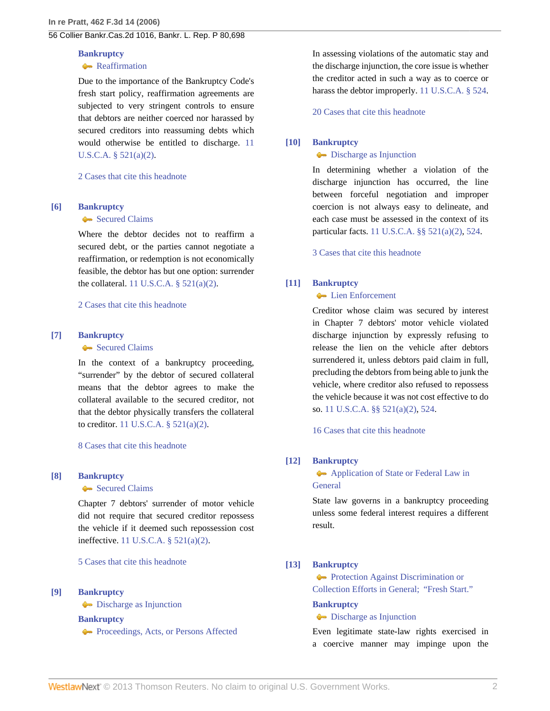### **[Bankruptcy](http://www.westlaw.com/Browse/Home/KeyNumber/51/View.html?docGuid=I189f0c7139fc11dbbb4d83d7c3c3a165&originationContext=document&vr=3.0&rs=cblt1.0&transitionType=DocumentItem&contextData=(sc.Search))**

### **[Reaffirmation](http://www.westlaw.com/Browse/Home/KeyNumber/51k3415/View.html?docGuid=I189f0c7139fc11dbbb4d83d7c3c3a165&originationContext=document&vr=3.0&rs=cblt1.0&transitionType=DocumentItem&contextData=(sc.Search))**

Due to the importance of the Bankruptcy Code's fresh start policy, reaffirmation agreements are subjected to very stringent controls to ensure that debtors are neither coerced nor harassed by secured creditors into reassuming debts which would otherwise be entitled to discharge. [11](http://www.westlaw.com/Link/Document/FullText?findType=L&pubNum=1000546&cite=11USCAS521&originatingDoc=I189f0c7139fc11dbbb4d83d7c3c3a165&refType=LQ&originationContext=document&vr=3.0&rs=cblt1.0&transitionType=DocumentItem&contextData=(sc.Search)) [U.S.C.A. § 521\(a\)\(2\)](http://www.westlaw.com/Link/Document/FullText?findType=L&pubNum=1000546&cite=11USCAS521&originatingDoc=I189f0c7139fc11dbbb4d83d7c3c3a165&refType=LQ&originationContext=document&vr=3.0&rs=cblt1.0&transitionType=DocumentItem&contextData=(sc.Search)).

[2 Cases that cite this headnote](http://www.westlaw.com/Link/RelatedInformation/DocHeadnoteLink?docGuid=I189f0c7139fc11dbbb4d83d7c3c3a165&headnoteId=201021596600520070318081206&originationContext=document&vr=3.0&rs=cblt1.0&transitionType=CitingReferences&contextData=(sc.Search))

### <span id="page-22-2"></span>**[\[6\]](#page-24-5) [Bankruptcy](http://www.westlaw.com/Browse/Home/KeyNumber/51/View.html?docGuid=I189f0c7139fc11dbbb4d83d7c3c3a165&originationContext=document&vr=3.0&rs=cblt1.0&transitionType=DocumentItem&contextData=(sc.Search))**

### [Secured Claims](http://www.westlaw.com/Browse/Home/KeyNumber/51VII(B)/View.html?docGuid=I189f0c7139fc11dbbb4d83d7c3c3a165&originationContext=document&vr=3.0&rs=cblt1.0&transitionType=DocumentItem&contextData=(sc.Search))

Where the debtor decides not to reaffirm a secured debt, or the parties cannot negotiate a reaffirmation, or redemption is not economically feasible, the debtor has but one option: surrender the collateral. 11 U.S.C.A.  $\S$  521(a)(2).

[2 Cases that cite this headnote](http://www.westlaw.com/Link/RelatedInformation/DocHeadnoteLink?docGuid=I189f0c7139fc11dbbb4d83d7c3c3a165&headnoteId=201021596600620070318081206&originationContext=document&vr=3.0&rs=cblt1.0&transitionType=CitingReferences&contextData=(sc.Search))

# <span id="page-22-3"></span>**[\[7\]](#page-25-0) [Bankruptcy](http://www.westlaw.com/Browse/Home/KeyNumber/51/View.html?docGuid=I189f0c7139fc11dbbb4d83d7c3c3a165&originationContext=document&vr=3.0&rs=cblt1.0&transitionType=DocumentItem&contextData=(sc.Search))**

#### [Secured Claims](http://www.westlaw.com/Browse/Home/KeyNumber/51VII(B)/View.html?docGuid=I189f0c7139fc11dbbb4d83d7c3c3a165&originationContext=document&vr=3.0&rs=cblt1.0&transitionType=DocumentItem&contextData=(sc.Search))

In the context of a bankruptcy proceeding, "surrender" by the debtor of secured collateral means that the debtor agrees to make the collateral available to the secured creditor, not that the debtor physically transfers the collateral to creditor. [11 U.S.C.A. § 521\(a\)\(2\)](http://www.westlaw.com/Link/Document/FullText?findType=L&pubNum=1000546&cite=11USCAS521&originatingDoc=I189f0c7139fc11dbbb4d83d7c3c3a165&refType=LQ&originationContext=document&vr=3.0&rs=cblt1.0&transitionType=DocumentItem&contextData=(sc.Search)).

[8 Cases that cite this headnote](http://www.westlaw.com/Link/RelatedInformation/DocHeadnoteLink?docGuid=I189f0c7139fc11dbbb4d83d7c3c3a165&headnoteId=201021596600720070318081206&originationContext=document&vr=3.0&rs=cblt1.0&transitionType=CitingReferences&contextData=(sc.Search))

#### <span id="page-22-0"></span>**[\[8\]](#page-25-1) [Bankruptcy](http://www.westlaw.com/Browse/Home/KeyNumber/51/View.html?docGuid=I189f0c7139fc11dbbb4d83d7c3c3a165&originationContext=document&vr=3.0&rs=cblt1.0&transitionType=DocumentItem&contextData=(sc.Search))**

#### [Secured Claims](http://www.westlaw.com/Browse/Home/KeyNumber/51VII(B)/View.html?docGuid=I189f0c7139fc11dbbb4d83d7c3c3a165&originationContext=document&vr=3.0&rs=cblt1.0&transitionType=DocumentItem&contextData=(sc.Search))

Chapter 7 debtors' surrender of motor vehicle did not require that secured creditor repossess the vehicle if it deemed such repossession cost ineffective. [11 U.S.C.A. § 521\(a\)\(2\).](http://www.westlaw.com/Link/Document/FullText?findType=L&pubNum=1000546&cite=11USCAS521&originatingDoc=I189f0c7139fc11dbbb4d83d7c3c3a165&refType=LQ&originationContext=document&vr=3.0&rs=cblt1.0&transitionType=DocumentItem&contextData=(sc.Search))

[5 Cases that cite this headnote](http://www.westlaw.com/Link/RelatedInformation/DocHeadnoteLink?docGuid=I189f0c7139fc11dbbb4d83d7c3c3a165&headnoteId=201021596600820070318081206&originationContext=document&vr=3.0&rs=cblt1.0&transitionType=CitingReferences&contextData=(sc.Search))

#### <span id="page-22-4"></span>**[\[9\]](#page-25-2) [Bankruptcy](http://www.westlaw.com/Browse/Home/KeyNumber/51/View.html?docGuid=I189f0c7139fc11dbbb4d83d7c3c3a165&originationContext=document&vr=3.0&rs=cblt1.0&transitionType=DocumentItem&contextData=(sc.Search))**

**[Discharge as Injunction](http://www.westlaw.com/Browse/Home/KeyNumber/51k2364/View.html?docGuid=I189f0c7139fc11dbbb4d83d7c3c3a165&originationContext=document&vr=3.0&rs=cblt1.0&transitionType=DocumentItem&contextData=(sc.Search))** 

**[Bankruptcy](http://www.westlaw.com/Browse/Home/KeyNumber/51/View.html?docGuid=I189f0c7139fc11dbbb4d83d7c3c3a165&originationContext=document&vr=3.0&rs=cblt1.0&transitionType=DocumentItem&contextData=(sc.Search))**

**[Proceedings, Acts, or Persons Affected](http://www.westlaw.com/Browse/Home/KeyNumber/51k2394/View.html?docGuid=I189f0c7139fc11dbbb4d83d7c3c3a165&originationContext=document&vr=3.0&rs=cblt1.0&transitionType=DocumentItem&contextData=(sc.Search))** 

In assessing violations of the automatic stay and the discharge injunction, the core issue is whether the creditor acted in such a way as to coerce or harass the debtor improperly. [11 U.S.C.A. § 524.](http://www.westlaw.com/Link/Document/FullText?findType=L&pubNum=1000546&cite=11USCAS524&originatingDoc=I189f0c7139fc11dbbb4d83d7c3c3a165&refType=LQ&originationContext=document&vr=3.0&rs=cblt1.0&transitionType=DocumentItem&contextData=(sc.Search))

[20 Cases that cite this headnote](http://www.westlaw.com/Link/RelatedInformation/DocHeadnoteLink?docGuid=I189f0c7139fc11dbbb4d83d7c3c3a165&headnoteId=201021596600920070318081206&originationContext=document&vr=3.0&rs=cblt1.0&transitionType=CitingReferences&contextData=(sc.Search))

### <span id="page-22-5"></span>**[\[10\]](#page-25-3) [Bankruptcy](http://www.westlaw.com/Browse/Home/KeyNumber/51/View.html?docGuid=I189f0c7139fc11dbbb4d83d7c3c3a165&originationContext=document&vr=3.0&rs=cblt1.0&transitionType=DocumentItem&contextData=(sc.Search))**

### **[Discharge as Injunction](http://www.westlaw.com/Browse/Home/KeyNumber/51k2364/View.html?docGuid=I189f0c7139fc11dbbb4d83d7c3c3a165&originationContext=document&vr=3.0&rs=cblt1.0&transitionType=DocumentItem&contextData=(sc.Search))**

In determining whether a violation of the discharge injunction has occurred, the line between forceful negotiation and improper coercion is not always easy to delineate, and each case must be assessed in the context of its particular facts. [11 U.S.C.A. §§ 521\(a\)\(2\),](http://www.westlaw.com/Link/Document/FullText?findType=L&pubNum=1000546&cite=11USCAS521&originatingDoc=I189f0c7139fc11dbbb4d83d7c3c3a165&refType=LQ&originationContext=document&vr=3.0&rs=cblt1.0&transitionType=DocumentItem&contextData=(sc.Search)) [524.](http://www.westlaw.com/Link/Document/FullText?findType=L&pubNum=1000546&cite=11USCAS524&originatingDoc=I189f0c7139fc11dbbb4d83d7c3c3a165&refType=LQ&originationContext=document&vr=3.0&rs=cblt1.0&transitionType=DocumentItem&contextData=(sc.Search))

[3 Cases that cite this headnote](http://www.westlaw.com/Link/RelatedInformation/DocHeadnoteLink?docGuid=I189f0c7139fc11dbbb4d83d7c3c3a165&headnoteId=201021596601020070318081206&originationContext=document&vr=3.0&rs=cblt1.0&transitionType=CitingReferences&contextData=(sc.Search))

### <span id="page-22-1"></span>**[\[11\]](#page-25-4) [Bankruptcy](http://www.westlaw.com/Browse/Home/KeyNumber/51/View.html?docGuid=I189f0c7139fc11dbbb4d83d7c3c3a165&originationContext=document&vr=3.0&rs=cblt1.0&transitionType=DocumentItem&contextData=(sc.Search))**

## **[Lien Enforcement](http://www.westlaw.com/Browse/Home/KeyNumber/51k2366/View.html?docGuid=I189f0c7139fc11dbbb4d83d7c3c3a165&originationContext=document&vr=3.0&rs=cblt1.0&transitionType=DocumentItem&contextData=(sc.Search))**

Creditor whose claim was secured by interest in Chapter 7 debtors' motor vehicle violated discharge injunction by expressly refusing to release the lien on the vehicle after debtors surrendered it, unless debtors paid claim in full, precluding the debtors from being able to junk the vehicle, where creditor also refused to repossess the vehicle because it was not cost effective to do so. [11 U.S.C.A. §§ 521\(a\)\(2\),](http://www.westlaw.com/Link/Document/FullText?findType=L&pubNum=1000546&cite=11USCAS521&originatingDoc=I189f0c7139fc11dbbb4d83d7c3c3a165&refType=LQ&originationContext=document&vr=3.0&rs=cblt1.0&transitionType=DocumentItem&contextData=(sc.Search)) [524.](http://www.westlaw.com/Link/Document/FullText?findType=L&pubNum=1000546&cite=11USCAS524&originatingDoc=I189f0c7139fc11dbbb4d83d7c3c3a165&refType=LQ&originationContext=document&vr=3.0&rs=cblt1.0&transitionType=DocumentItem&contextData=(sc.Search))

[16 Cases that cite this headnote](http://www.westlaw.com/Link/RelatedInformation/DocHeadnoteLink?docGuid=I189f0c7139fc11dbbb4d83d7c3c3a165&headnoteId=201021596601120070318081206&originationContext=document&vr=3.0&rs=cblt1.0&transitionType=CitingReferences&contextData=(sc.Search))

#### <span id="page-22-6"></span>**[\[12\]](#page-25-5) [Bankruptcy](http://www.westlaw.com/Browse/Home/KeyNumber/51/View.html?docGuid=I189f0c7139fc11dbbb4d83d7c3c3a165&originationContext=document&vr=3.0&rs=cblt1.0&transitionType=DocumentItem&contextData=(sc.Search))**

**[Application of State or Federal Law in](http://www.westlaw.com/Browse/Home/KeyNumber/51k2002/View.html?docGuid=I189f0c7139fc11dbbb4d83d7c3c3a165&originationContext=document&vr=3.0&rs=cblt1.0&transitionType=DocumentItem&contextData=(sc.Search)) [General](http://www.westlaw.com/Browse/Home/KeyNumber/51k2002/View.html?docGuid=I189f0c7139fc11dbbb4d83d7c3c3a165&originationContext=document&vr=3.0&rs=cblt1.0&transitionType=DocumentItem&contextData=(sc.Search))** 

State law governs in a bankruptcy proceeding unless some federal interest requires a different result.

### <span id="page-22-7"></span>**[\[13\]](#page-25-6) [Bankruptcy](http://www.westlaw.com/Browse/Home/KeyNumber/51/View.html?docGuid=I189f0c7139fc11dbbb4d83d7c3c3a165&originationContext=document&vr=3.0&rs=cblt1.0&transitionType=DocumentItem&contextData=(sc.Search))**

**[Protection Against Discrimination or](http://www.westlaw.com/Browse/Home/KeyNumber/51k2363/View.html?docGuid=I189f0c7139fc11dbbb4d83d7c3c3a165&originationContext=document&vr=3.0&rs=cblt1.0&transitionType=DocumentItem&contextData=(sc.Search))** [Collection Efforts in General; "Fresh Start."](http://www.westlaw.com/Browse/Home/KeyNumber/51k2363/View.html?docGuid=I189f0c7139fc11dbbb4d83d7c3c3a165&originationContext=document&vr=3.0&rs=cblt1.0&transitionType=DocumentItem&contextData=(sc.Search))

#### **[Bankruptcy](http://www.westlaw.com/Browse/Home/KeyNumber/51/View.html?docGuid=I189f0c7139fc11dbbb4d83d7c3c3a165&originationContext=document&vr=3.0&rs=cblt1.0&transitionType=DocumentItem&contextData=(sc.Search))**

### **[Discharge as Injunction](http://www.westlaw.com/Browse/Home/KeyNumber/51k2364/View.html?docGuid=I189f0c7139fc11dbbb4d83d7c3c3a165&originationContext=document&vr=3.0&rs=cblt1.0&transitionType=DocumentItem&contextData=(sc.Search))**

Even legitimate state-law rights exercised in a coercive manner may impinge upon the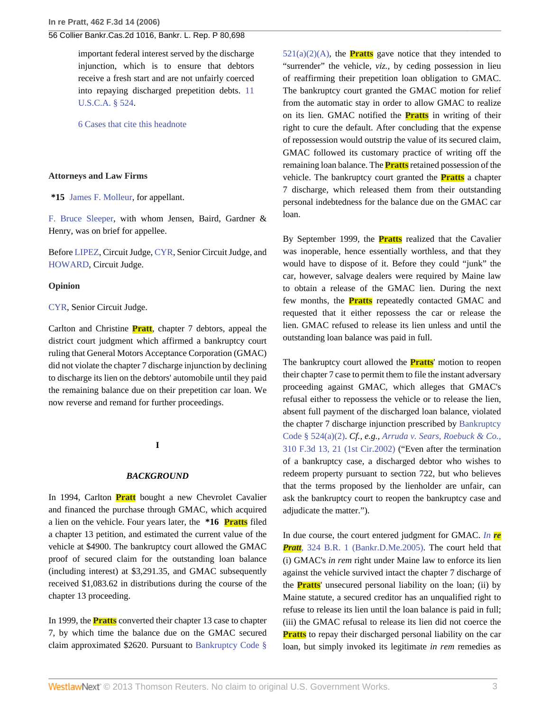important federal interest served by the discharge injunction, which is to ensure that debtors receive a fresh start and are not unfairly coerced into repaying discharged prepetition debts. [11](http://www.westlaw.com/Link/Document/FullText?findType=L&pubNum=1000546&cite=11USCAS524&originatingDoc=I189f0c7139fc11dbbb4d83d7c3c3a165&refType=LQ&originationContext=document&vr=3.0&rs=cblt1.0&transitionType=DocumentItem&contextData=(sc.Search)) [U.S.C.A. § 524.](http://www.westlaw.com/Link/Document/FullText?findType=L&pubNum=1000546&cite=11USCAS524&originatingDoc=I189f0c7139fc11dbbb4d83d7c3c3a165&refType=LQ&originationContext=document&vr=3.0&rs=cblt1.0&transitionType=DocumentItem&contextData=(sc.Search))

[6 Cases that cite this headnote](http://www.westlaw.com/Link/RelatedInformation/DocHeadnoteLink?docGuid=I189f0c7139fc11dbbb4d83d7c3c3a165&headnoteId=201021596601320070318081206&originationContext=document&vr=3.0&rs=cblt1.0&transitionType=CitingReferences&contextData=(sc.Search))

#### **Attorneys and Law Firms**

**\*15** [James F. Molleur](http://www.westlaw.com/Link/Document/FullText?findType=h&pubNum=176284&cite=0174184001&originatingDoc=I189f0c7139fc11dbbb4d83d7c3c3a165&refType=RQ&originationContext=document&vr=3.0&rs=cblt1.0&transitionType=DocumentItem&contextData=(sc.Search)), for appellant.

[F. Bruce Sleeper](http://www.westlaw.com/Link/Document/FullText?findType=h&pubNum=176284&cite=0110979101&originatingDoc=I189f0c7139fc11dbbb4d83d7c3c3a165&refType=RQ&originationContext=document&vr=3.0&rs=cblt1.0&transitionType=DocumentItem&contextData=(sc.Search)), with whom Jensen, Baird, Gardner & Henry, was on brief for appellee.

Before [LIPEZ](http://www.westlaw.com/Link/Document/FullText?findType=h&pubNum=176284&cite=0192467401&originatingDoc=I189f0c7139fc11dbbb4d83d7c3c3a165&refType=RQ&originationContext=document&vr=3.0&rs=cblt1.0&transitionType=DocumentItem&contextData=(sc.Search)), Circuit Judge, [CYR,](http://www.westlaw.com/Link/Document/FullText?findType=h&pubNum=176284&cite=0264045201&originatingDoc=I189f0c7139fc11dbbb4d83d7c3c3a165&refType=RQ&originationContext=document&vr=3.0&rs=cblt1.0&transitionType=DocumentItem&contextData=(sc.Search)) Senior Circuit Judge, and [HOWARD,](http://www.westlaw.com/Link/Document/FullText?findType=h&pubNum=176284&cite=0324387801&originatingDoc=I189f0c7139fc11dbbb4d83d7c3c3a165&refType=RQ&originationContext=document&vr=3.0&rs=cblt1.0&transitionType=DocumentItem&contextData=(sc.Search)) Circuit Judge.

#### **Opinion**

#### [CYR,](http://www.westlaw.com/Link/Document/FullText?findType=h&pubNum=176284&cite=0264045201&originatingDoc=I189f0c7139fc11dbbb4d83d7c3c3a165&refType=RQ&originationContext=document&vr=3.0&rs=cblt1.0&transitionType=DocumentItem&contextData=(sc.Search)) Senior Circuit Judge.

Carlton and Christine **Pratt**, chapter 7 debtors, appeal the district court judgment which affirmed a bankruptcy court ruling that General Motors Acceptance Corporation (GMAC) did not violate the chapter 7 discharge injunction by declining to discharge its lien on the debtors' automobile until they paid the remaining balance due on their prepetition car loan. We now reverse and remand for further proceedings.

#### **I**

#### *BACKGROUND*

In 1994, Carlton **Pratt** bought a new Chevrolet Cavalier and financed the purchase through GMAC, which acquired a lien on the vehicle. Four years later, the **\*16 Pratts** filed a chapter 13 petition, and estimated the current value of the vehicle at \$4900. The bankruptcy court allowed the GMAC proof of secured claim for the outstanding loan balance (including interest) at \$3,291.35, and GMAC subsequently received \$1,083.62 in distributions during the course of the chapter 13 proceeding.

In 1999, the **Pratts** converted their chapter 13 case to chapter 7, by which time the balance due on the GMAC secured claim approximated \$2620. Pursuant to [Bankruptcy Code §](http://www.westlaw.com/Link/Document/FullText?findType=L&pubNum=1000546&cite=11USCAS521&originatingDoc=I189f0c7139fc11dbbb4d83d7c3c3a165&refType=LQ&originationContext=document&vr=3.0&rs=cblt1.0&transitionType=DocumentItem&contextData=(sc.Search))  $521(a)(2)(A)$ , the **Pratts** gave notice that they intended to "surrender" the vehicle, *viz.,* by ceding possession in lieu of reaffirming their prepetition loan obligation to GMAC. The bankruptcy court granted the GMAC motion for relief from the automatic stay in order to allow GMAC to realize on its lien. GMAC notified the **Pratts** in writing of their right to cure the default. After concluding that the expense of repossession would outstrip the value of its secured claim, GMAC followed its customary practice of writing off the remaining loan balance. The **Pratts** retained possession of the vehicle. The bankruptcy court granted the **Pratts** a chapter 7 discharge, which released them from their outstanding personal indebtedness for the balance due on the GMAC car loan.

By September 1999, the **Pratts** realized that the Cavalier was inoperable, hence essentially worthless, and that they would have to dispose of it. Before they could "junk" the car, however, salvage dealers were required by Maine law to obtain a release of the GMAC lien. During the next few months, the **Pratts** repeatedly contacted GMAC and requested that it either repossess the car or release the lien. GMAC refused to release its lien unless and until the outstanding loan balance was paid in full.

The bankruptcy court allowed the **Pratts**' motion to reopen their chapter 7 case to permit them to file the instant adversary proceeding against GMAC, which alleges that GMAC's refusal either to repossess the vehicle or to release the lien, absent full payment of the discharged loan balance, violated the chapter 7 discharge injunction prescribed by [Bankruptcy](http://www.westlaw.com/Link/Document/FullText?findType=L&pubNum=1000546&cite=11USCAS524&originatingDoc=I189f0c7139fc11dbbb4d83d7c3c3a165&refType=LQ&originationContext=document&vr=3.0&rs=cblt1.0&transitionType=DocumentItem&contextData=(sc.Search)) [Code § 524\(a\)\(2\)](http://www.westlaw.com/Link/Document/FullText?findType=L&pubNum=1000546&cite=11USCAS524&originatingDoc=I189f0c7139fc11dbbb4d83d7c3c3a165&refType=LQ&originationContext=document&vr=3.0&rs=cblt1.0&transitionType=DocumentItem&contextData=(sc.Search)). *Cf., e.g., [Arruda v. Sears, Roebuck & Co.,](http://www.westlaw.com/Link/Document/FullText?findType=Y&serNum=2002689927&pubNum=506&originationContext=document&vr=3.0&rs=cblt1.0&transitionType=DocumentItem&contextData=(sc.Search)#co_pp_sp_506_21)* [310 F.3d 13, 21 \(1st Cir.2002\)](http://www.westlaw.com/Link/Document/FullText?findType=Y&serNum=2002689927&pubNum=506&originationContext=document&vr=3.0&rs=cblt1.0&transitionType=DocumentItem&contextData=(sc.Search)#co_pp_sp_506_21) ("Even after the termination of a bankruptcy case, a discharged debtor who wishes to redeem property pursuant to section 722, but who believes that the terms proposed by the lienholder are unfair, can ask the bankruptcy court to reopen the bankruptcy case and adjudicate the matter.").

In due course, the court entered judgment for GMAC. *[In](http://www.westlaw.com/Link/Document/FullText?findType=Y&serNum=2006520493&pubNum=164&originationContext=document&vr=3.0&rs=cblt1.0&transitionType=DocumentItem&contextData=(sc.Search)) re Pratt*, [324 B.R. 1 \(Bankr.D.Me.2005\)](http://www.westlaw.com/Link/Document/FullText?findType=Y&serNum=2006520493&pubNum=164&originationContext=document&vr=3.0&rs=cblt1.0&transitionType=DocumentItem&contextData=(sc.Search)). The court held that (i) GMAC's *in rem* right under Maine law to enforce its lien against the vehicle survived intact the chapter 7 discharge of the **Pratts**' unsecured personal liability on the loan; (ii) by Maine statute, a secured creditor has an unqualified right to refuse to release its lien until the loan balance is paid in full; (iii) the GMAC refusal to release its lien did not coerce the **Pratts** to repay their discharged personal liability on the car loan, but simply invoked its legitimate *in rem* remedies as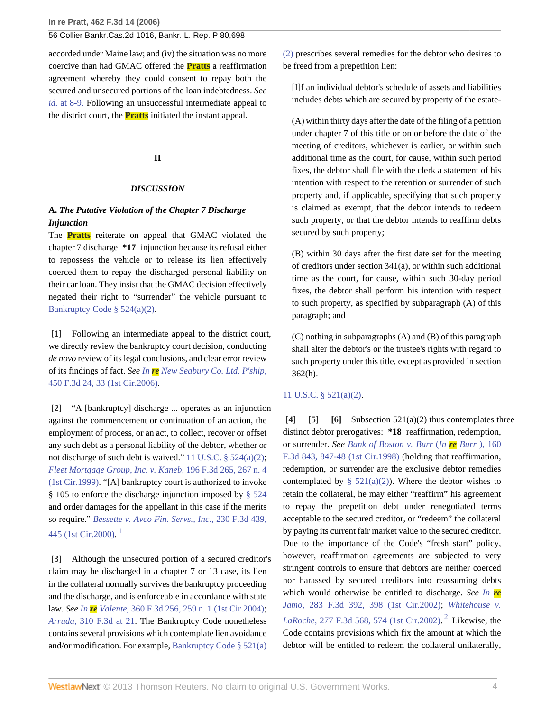accorded under Maine law; and (iv) the situation was no more coercive than had GMAC offered the **Pratts** a reaffirmation agreement whereby they could consent to repay both the secured and unsecured portions of the loan indebtedness. *See id.* [at 8-9.](http://www.westlaw.com/Link/Document/FullText?findType=Y&serNum=2006520493&originationContext=document&vr=3.0&rs=cblt1.0&transitionType=DocumentItem&contextData=(sc.Search)) Following an unsuccessful intermediate appeal to the district court, the **Pratts** initiated the instant appeal.

## **II**

#### *DISCUSSION*

# **A.** *The Putative Violation of the Chapter 7 Discharge Injunction*

The **Pratts** reiterate on appeal that GMAC violated the chapter 7 discharge **\*17** injunction because its refusal either to repossess the vehicle or to release its lien effectively coerced them to repay the discharged personal liability on their car loan. They insist that the GMAC decision effectively negated their right to "surrender" the vehicle pursuant to [Bankruptcy Code § 524\(a\)\(2\)](http://www.westlaw.com/Link/Document/FullText?findType=L&pubNum=1000546&cite=11USCAS524&originatingDoc=I189f0c7139fc11dbbb4d83d7c3c3a165&refType=LQ&originationContext=document&vr=3.0&rs=cblt1.0&transitionType=DocumentItem&contextData=(sc.Search)).

<span id="page-24-0"></span>**[\[1\]](#page-21-0)** Following an intermediate appeal to the district court, we directly review the bankruptcy court decision, conducting *de novo* review of its legal conclusions, and clear error review of its findings of fact. *See In re [New Seabury Co. Ltd. P'ship,](http://www.westlaw.com/Link/Document/FullText?findType=Y&serNum=2009313679&pubNum=506&originationContext=document&vr=3.0&rs=cblt1.0&transitionType=DocumentItem&contextData=(sc.Search)#co_pp_sp_506_33)* [450 F.3d 24, 33 \(1st Cir.2006\).](http://www.westlaw.com/Link/Document/FullText?findType=Y&serNum=2009313679&pubNum=506&originationContext=document&vr=3.0&rs=cblt1.0&transitionType=DocumentItem&contextData=(sc.Search)#co_pp_sp_506_33)

<span id="page-24-1"></span>**[\[2\]](#page-21-1)** "A [bankruptcy] discharge ... operates as an injunction against the commencement or continuation of an action, the employment of process, or an act, to collect, recover or offset any such debt as a personal liability of the debtor, whether or not discharge of such debt is waived." [11 U.S.C. § 524\(a\)\(2\)](http://www.westlaw.com/Link/Document/FullText?findType=L&pubNum=1000546&cite=11USCAS524&originatingDoc=I189f0c7139fc11dbbb4d83d7c3c3a165&refType=LQ&originationContext=document&vr=3.0&rs=cblt1.0&transitionType=DocumentItem&contextData=(sc.Search)); *[Fleet Mortgage Group, Inc. v. Kaneb,](http://www.westlaw.com/Link/Document/FullText?findType=Y&serNum=1999247358&pubNum=506&originationContext=document&vr=3.0&rs=cblt1.0&transitionType=DocumentItem&contextData=(sc.Search)#co_pp_sp_506_267)* 196 F.3d 265, 267 n. 4 [\(1st Cir.1999\)](http://www.westlaw.com/Link/Document/FullText?findType=Y&serNum=1999247358&pubNum=506&originationContext=document&vr=3.0&rs=cblt1.0&transitionType=DocumentItem&contextData=(sc.Search)#co_pp_sp_506_267). "[A] bankruptcy court is authorized to invoke § 105 to enforce the discharge injunction imposed by [§ 524](http://www.westlaw.com/Link/Document/FullText?findType=L&pubNum=1000546&cite=11USCAS524&originatingDoc=I189f0c7139fc11dbbb4d83d7c3c3a165&refType=LQ&originationContext=document&vr=3.0&rs=cblt1.0&transitionType=DocumentItem&contextData=(sc.Search)) and order damages for the appellant in this case if the merits so require." *[Bessette v. Avco Fin. Servs., Inc.,](http://www.westlaw.com/Link/Document/FullText?findType=Y&serNum=2000580776&pubNum=506&originationContext=document&vr=3.0&rs=cblt1.0&transitionType=DocumentItem&contextData=(sc.Search)#co_pp_sp_506_445)* 230 F.3d 439, [445 \(1st Cir.2000\).](http://www.westlaw.com/Link/Document/FullText?findType=Y&serNum=2000580776&pubNum=506&originationContext=document&vr=3.0&rs=cblt1.0&transitionType=DocumentItem&contextData=(sc.Search)#co_pp_sp_506_445) [1](#page-27-0)

<span id="page-24-6"></span><span id="page-24-2"></span>**[\[3\]](#page-21-2)** Although the unsecured portion of a secured creditor's claim may be discharged in a chapter 7 or 13 case, its lien in the collateral normally survives the bankruptcy proceeding and the discharge, and is enforceable in accordance with state law. *See In re Valente,* [360 F.3d 256, 259 n. 1 \(1st Cir.2004\)](http://www.westlaw.com/Link/Document/FullText?findType=Y&serNum=2004176541&pubNum=506&originationContext=document&vr=3.0&rs=cblt1.0&transitionType=DocumentItem&contextData=(sc.Search)#co_pp_sp_506_259); *Arruda,* [310 F.3d at 21](http://www.westlaw.com/Link/Document/FullText?findType=Y&serNum=2002689927&pubNum=506&originationContext=document&vr=3.0&rs=cblt1.0&transitionType=DocumentItem&contextData=(sc.Search)#co_pp_sp_506_21). The Bankruptcy Code nonetheless contains several provisions which contemplate lien avoidance and/or modification. For example, [Bankruptcy Code § 521\(a\)](http://www.westlaw.com/Link/Document/FullText?findType=L&pubNum=1000546&cite=11USCAS521&originatingDoc=I189f0c7139fc11dbbb4d83d7c3c3a165&refType=LQ&originationContext=document&vr=3.0&rs=cblt1.0&transitionType=DocumentItem&contextData=(sc.Search))

[\(2\)](http://www.westlaw.com/Link/Document/FullText?findType=L&pubNum=1000546&cite=11USCAS521&originatingDoc=I189f0c7139fc11dbbb4d83d7c3c3a165&refType=LQ&originationContext=document&vr=3.0&rs=cblt1.0&transitionType=DocumentItem&contextData=(sc.Search)) prescribes several remedies for the debtor who desires to be freed from a prepetition lien:

[I]f an individual debtor's schedule of assets and liabilities includes debts which are secured by property of the estate-

(A) within thirty days after the date of the filing of a petition under chapter 7 of this title or on or before the date of the meeting of creditors, whichever is earlier, or within such additional time as the court, for cause, within such period fixes, the debtor shall file with the clerk a statement of his intention with respect to the retention or surrender of such property and, if applicable, specifying that such property is claimed as exempt, that the debtor intends to redeem such property, or that the debtor intends to reaffirm debts secured by such property;

(B) within 30 days after the first date set for the meeting of creditors under section 341(a), or within such additional time as the court, for cause, within such 30-day period fixes, the debtor shall perform his intention with respect to such property, as specified by subparagraph (A) of this paragraph; and

(C) nothing in subparagraphs (A) and (B) of this paragraph shall alter the debtor's or the trustee's rights with regard to such property under this title, except as provided in section 362(h).

### [11 U.S.C. § 521\(a\)\(2\)](http://www.westlaw.com/Link/Document/FullText?findType=L&pubNum=1000546&cite=11USCAS521&originatingDoc=I189f0c7139fc11dbbb4d83d7c3c3a165&refType=LQ&originationContext=document&vr=3.0&rs=cblt1.0&transitionType=DocumentItem&contextData=(sc.Search)).

<span id="page-24-7"></span><span id="page-24-5"></span><span id="page-24-4"></span><span id="page-24-3"></span>**[\[4\]](#page-21-3) [\[5\]](#page-21-4) [\[6](#page-22-2)]** Subsection 521(a)(2) thus contemplates three distinct debtor prerogatives: **\*18** reaffirmation, redemption, or surrender. *See [Bank of Boston v. Burr](http://www.westlaw.com/Link/Document/FullText?findType=Y&serNum=1998237503&pubNum=506&originationContext=document&vr=3.0&rs=cblt1.0&transitionType=DocumentItem&contextData=(sc.Search)#co_pp_sp_506_847)* (*In re Burr* ), 160 [F.3d 843, 847-48 \(1st Cir.1998\)](http://www.westlaw.com/Link/Document/FullText?findType=Y&serNum=1998237503&pubNum=506&originationContext=document&vr=3.0&rs=cblt1.0&transitionType=DocumentItem&contextData=(sc.Search)#co_pp_sp_506_847) (holding that reaffirmation, redemption, or surrender are the exclusive debtor remedies contemplated by §  $521(a)(2)$ ). Where the debtor wishes to retain the collateral, he may either "reaffirm" his agreement to repay the prepetition debt under renegotiated terms acceptable to the secured creditor, or "redeem" the collateral by paying its current fair market value to the secured creditor. Due to the importance of the Code's "fresh start" policy, however, reaffirmation agreements are subjected to very stringent controls to ensure that debtors are neither coerced nor harassed by secured creditors into reassuming debts which would otherwise be entitled to discharge. *See [In](http://www.westlaw.com/Link/Document/FullText?findType=Y&serNum=2002201853&pubNum=506&originationContext=document&vr=3.0&rs=cblt1.0&transitionType=DocumentItem&contextData=(sc.Search)#co_pp_sp_506_398) re Jamo,* [283 F.3d 392, 398 \(1st Cir.2002\);](http://www.westlaw.com/Link/Document/FullText?findType=Y&serNum=2002201853&pubNum=506&originationContext=document&vr=3.0&rs=cblt1.0&transitionType=DocumentItem&contextData=(sc.Search)#co_pp_sp_506_398) *[Whitehouse v.](http://www.westlaw.com/Link/Document/FullText?findType=Y&serNum=2002067633&pubNum=506&originationContext=document&vr=3.0&rs=cblt1.0&transitionType=DocumentItem&contextData=(sc.Search)#co_pp_sp_506_574) LaRoche,* [277 F.3d 568, 574 \(1st Cir.2002\).](http://www.westlaw.com/Link/Document/FullText?findType=Y&serNum=2002067633&pubNum=506&originationContext=document&vr=3.0&rs=cblt1.0&transitionType=DocumentItem&contextData=(sc.Search)#co_pp_sp_506_574) [2](#page-27-1) Likewise, the Code contains provisions which fix the amount at which the debtor will be entitled to redeem the collateral unilaterally,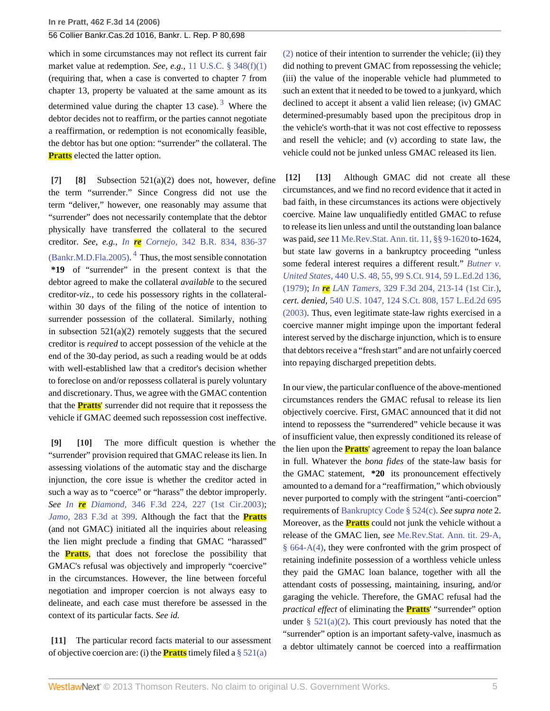which in some circumstances may not reflect its current fair market value at redemption. *See, e.g.,* [11 U.S.C. § 348\(f\)\(1\)](http://www.westlaw.com/Link/Document/FullText?findType=L&pubNum=1000546&cite=11USCAS348&originatingDoc=I189f0c7139fc11dbbb4d83d7c3c3a165&refType=LQ&originationContext=document&vr=3.0&rs=cblt1.0&transitionType=DocumentItem&contextData=(sc.Search)) (requiring that, when a case is converted to chapter 7 from chapter 13, property be valuated at the same amount as its determined value during the chapter 1[3](#page-27-2) case).  $3$  Where the debtor decides not to reaffirm, or the parties cannot negotiate a reaffirmation, or redemption is not economically feasible, the debtor has but one option: "surrender" the collateral. The **Pratts** elected the latter option.

<span id="page-25-8"></span><span id="page-25-1"></span><span id="page-25-0"></span>**[\[7\]](#page-22-3) [\[8\]](#page-22-0)** Subsection 521(a)(2) does not, however, define the term "surrender." Since Congress did not use the term "deliver," however, one reasonably may assume that "surrender" does not necessarily contemplate that the debtor physically have transferred the collateral to the secured creditor. *See, e.g., In re Cornejo,* [342 B.R. 834, 836-37](http://www.westlaw.com/Link/Document/FullText?findType=Y&serNum=2006264512&pubNum=164&originationContext=document&vr=3.0&rs=cblt1.0&transitionType=DocumentItem&contextData=(sc.Search)#co_pp_sp_164_836)  $(Bankr.M.D.Fla.2005)$ .<sup>[4](#page-27-3)</sup> Thus, the most sensible connotation **\*19** of "surrender" in the present context is that the debtor agreed to make the collateral *available* to the secured creditor-*viz.,* to cede his possessory rights in the collateralwithin 30 days of the filing of the notice of intention to surrender possession of the collateral. Similarly, nothing in subsection  $521(a)(2)$  remotely suggests that the secured creditor is *required* to accept possession of the vehicle at the end of the 30-day period, as such a reading would be at odds with well-established law that a creditor's decision whether to foreclose on and/or repossess collateral is purely voluntary and discretionary. Thus, we agree with the GMAC contention that the **Pratts**' surrender did not require that it repossess the vehicle if GMAC deemed such repossession cost ineffective.

<span id="page-25-3"></span><span id="page-25-2"></span>**[\[9\]](#page-22-4) [\[10](#page-22-5)]** The more difficult question is whether the "surrender" provision required that GMAC release its lien. In assessing violations of the automatic stay and the discharge injunction, the core issue is whether the creditor acted in such a way as to "coerce" or "harass" the debtor improperly. *See In re Diamond,* [346 F.3d 224, 227 \(1st Cir.2003\)](http://www.westlaw.com/Link/Document/FullText?findType=Y&serNum=2003687560&pubNum=506&originationContext=document&vr=3.0&rs=cblt1.0&transitionType=DocumentItem&contextData=(sc.Search)#co_pp_sp_506_227); *Jamo,* [283 F.3d at 399.](http://www.westlaw.com/Link/Document/FullText?findType=Y&serNum=2002201853&pubNum=506&originationContext=document&vr=3.0&rs=cblt1.0&transitionType=DocumentItem&contextData=(sc.Search)#co_pp_sp_506_399) Although the fact that the **Pratts** (and not GMAC) initiated all the inquiries about releasing the lien might preclude a finding that GMAC "harassed" the **Pratts**, that does not foreclose the possibility that GMAC's refusal was objectively and improperly "coercive" in the circumstances. However, the line between forceful negotiation and improper coercion is not always easy to delineate, and each case must therefore be assessed in the context of its particular facts. *See id.*

<span id="page-25-4"></span>**[\[11\]](#page-22-1)** The particular record facts material to our assessment of objective coercion are: (i) the **Pratts** timely filed a [§ 521\(a\)](http://www.westlaw.com/Link/Document/FullText?findType=L&pubNum=1000546&cite=11USCAS521&originatingDoc=I189f0c7139fc11dbbb4d83d7c3c3a165&refType=LQ&originationContext=document&vr=3.0&rs=cblt1.0&transitionType=DocumentItem&contextData=(sc.Search))

<span id="page-25-7"></span>[\(2\)](http://www.westlaw.com/Link/Document/FullText?findType=L&pubNum=1000546&cite=11USCAS521&originatingDoc=I189f0c7139fc11dbbb4d83d7c3c3a165&refType=LQ&originationContext=document&vr=3.0&rs=cblt1.0&transitionType=DocumentItem&contextData=(sc.Search)) notice of their intention to surrender the vehicle; (ii) they did nothing to prevent GMAC from repossessing the vehicle; (iii) the value of the inoperable vehicle had plummeted to such an extent that it needed to be towed to a junkyard, which declined to accept it absent a valid lien release; (iv) GMAC determined-presumably based upon the precipitous drop in the vehicle's worth-that it was not cost effective to repossess and resell the vehicle; and (v) according to state law, the vehicle could not be junked unless GMAC released its lien.

<span id="page-25-6"></span><span id="page-25-5"></span>**[\[12\]](#page-22-6) [\[13\]](#page-22-7)** Although GMAC did not create all these circumstances, and we find no record evidence that it acted in bad faith, in these circumstances its actions were objectively coercive. Maine law unqualifiedly entitled GMAC to refuse to release its lien unless and until the outstanding loan balance was paid, *see* 11 [Me.Rev.Stat. Ann. tit. 11, §§ 9-1620](http://www.westlaw.com/Link/Document/FullText?findType=L&pubNum=1000265&cite=MESTT.11S9-1620&originatingDoc=I189f0c7139fc11dbbb4d83d7c3c3a165&refType=LQ&originationContext=document&vr=3.0&rs=cblt1.0&transitionType=DocumentItem&contextData=(sc.Search)) to-1624, but state law governs in a bankruptcy proceeding "unless some federal interest requires a different result." *[Butner v.](http://www.westlaw.com/Link/Document/FullText?findType=Y&serNum=1979108028&pubNum=708&originationContext=document&vr=3.0&rs=cblt1.0&transitionType=DocumentItem&contextData=(sc.Search)) United States,* [440 U.S. 48, 55, 99 S.Ct. 914, 59 L.Ed.2d 136,](http://www.westlaw.com/Link/Document/FullText?findType=Y&serNum=1979108028&pubNum=708&originationContext=document&vr=3.0&rs=cblt1.0&transitionType=DocumentItem&contextData=(sc.Search)) [\(1979\);](http://www.westlaw.com/Link/Document/FullText?findType=Y&serNum=1979108028&pubNum=708&originationContext=document&vr=3.0&rs=cblt1.0&transitionType=DocumentItem&contextData=(sc.Search)) *In re LAN Tamers,* [329 F.3d 204, 213-14 \(1st Cir.\),](http://www.westlaw.com/Link/Document/FullText?findType=Y&serNum=2003358853&pubNum=506&originationContext=document&vr=3.0&rs=cblt1.0&transitionType=DocumentItem&contextData=(sc.Search)#co_pp_sp_506_213) *cert. denied,* [540 U.S. 1047, 124 S.Ct. 808, 157 L.Ed.2d 695](http://www.westlaw.com/Link/Document/FullText?findType=Y&serNum=2003638730&pubNum=708&originationContext=document&vr=3.0&rs=cblt1.0&transitionType=DocumentItem&contextData=(sc.Search)) [\(2003\).](http://www.westlaw.com/Link/Document/FullText?findType=Y&serNum=2003638730&pubNum=708&originationContext=document&vr=3.0&rs=cblt1.0&transitionType=DocumentItem&contextData=(sc.Search)) Thus, even legitimate state-law rights exercised in a coercive manner might impinge upon the important federal interest served by the discharge injunction, which is to ensure that debtors receive a "fresh start" and are not unfairly coerced into repaying discharged prepetition debts.

In our view, the particular confluence of the above-mentioned circumstances renders the GMAC refusal to release its lien objectively coercive. First, GMAC announced that it did not intend to repossess the "surrendered" vehicle because it was of insufficient value, then expressly conditioned its release of the lien upon the **Pratts**' agreement to repay the loan balance in full. Whatever the *bona fides* of the state-law basis for the GMAC statement, **\*20** its pronouncement effectively amounted to a demand for a "reaffirmation," which obviously never purported to comply with the stringent "anti-coercion" requirements of [Bankruptcy Code § 524\(c\)](http://www.westlaw.com/Link/Document/FullText?findType=L&pubNum=1000546&cite=11USCAS524&originatingDoc=I189f0c7139fc11dbbb4d83d7c3c3a165&refType=LQ&originationContext=document&vr=3.0&rs=cblt1.0&transitionType=DocumentItem&contextData=(sc.Search)). *See supra note* 2. Moreover, as the **Pratts** could not junk the vehicle without a release of the GMAC lien, *see* [Me.Rev.Stat. Ann. tit. 29-A,](http://www.westlaw.com/Link/Document/FullText?findType=L&pubNum=1000265&cite=MESTT29-AS664-A&originatingDoc=I189f0c7139fc11dbbb4d83d7c3c3a165&refType=LQ&originationContext=document&vr=3.0&rs=cblt1.0&transitionType=DocumentItem&contextData=(sc.Search)) [§ 664-A\(4\)](http://www.westlaw.com/Link/Document/FullText?findType=L&pubNum=1000265&cite=MESTT29-AS664-A&originatingDoc=I189f0c7139fc11dbbb4d83d7c3c3a165&refType=LQ&originationContext=document&vr=3.0&rs=cblt1.0&transitionType=DocumentItem&contextData=(sc.Search)), they were confronted with the grim prospect of retaining indefinite possession of a worthless vehicle unless they paid the GMAC loan balance, together with all the attendant costs of possessing, maintaining, insuring, and/or garaging the vehicle. Therefore, the GMAC refusal had the *practical effect* of eliminating the **Pratts**' "surrender" option under §  $521(a)(2)$ . This court previously has noted that the "surrender" option is an important safety-valve, inasmuch as a debtor ultimately cannot be coerced into a reaffirmation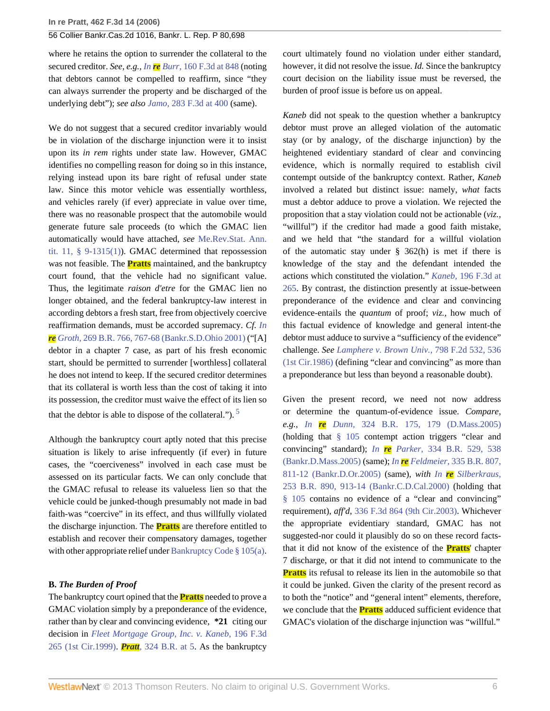where he retains the option to surrender the collateral to the secured creditor. *See, e.g., In re Burr,* [160 F.3d at 848](http://www.westlaw.com/Link/Document/FullText?findType=Y&serNum=1998237503&pubNum=506&originationContext=document&vr=3.0&rs=cblt1.0&transitionType=DocumentItem&contextData=(sc.Search)#co_pp_sp_506_848) (noting that debtors cannot be compelled to reaffirm, since "they can always surrender the property and be discharged of the underlying debt"); *see also Jamo,* [283 F.3d at 400](http://www.westlaw.com/Link/Document/FullText?findType=Y&serNum=2002201853&pubNum=506&originationContext=document&vr=3.0&rs=cblt1.0&transitionType=DocumentItem&contextData=(sc.Search)#co_pp_sp_506_400) (same).

We do not suggest that a secured creditor invariably would be in violation of the discharge injunction were it to insist upon its *in rem* rights under state law. However, GMAC identifies no compelling reason for doing so in this instance, relying instead upon its bare right of refusal under state law. Since this motor vehicle was essentially worthless, and vehicles rarely (if ever) appreciate in value over time, there was no reasonable prospect that the automobile would generate future sale proceeds (to which the GMAC lien automatically would have attached, *see* [Me.Rev.Stat. Ann.](http://www.westlaw.com/Link/Document/FullText?findType=L&pubNum=1000265&cite=MESTT.11S9-1315&originatingDoc=I189f0c7139fc11dbbb4d83d7c3c3a165&refType=LQ&originationContext=document&vr=3.0&rs=cblt1.0&transitionType=DocumentItem&contextData=(sc.Search)) [tit. 11, § 9-1315\(1\)](http://www.westlaw.com/Link/Document/FullText?findType=L&pubNum=1000265&cite=MESTT.11S9-1315&originatingDoc=I189f0c7139fc11dbbb4d83d7c3c3a165&refType=LQ&originationContext=document&vr=3.0&rs=cblt1.0&transitionType=DocumentItem&contextData=(sc.Search))). GMAC determined that repossession was not feasible. The **Pratts** maintained, and the bankruptcy court found, that the vehicle had no significant value. Thus, the legitimate *raison d'etre* for the GMAC lien no longer obtained, and the federal bankruptcy-law interest in according debtors a fresh start, free from objectively coercive reaffirmation demands, must be accorded supremacy. *Cf. [In](http://www.westlaw.com/Link/Document/FullText?findType=Y&serNum=2001510073&pubNum=164&originationContext=document&vr=3.0&rs=cblt1.0&transitionType=DocumentItem&contextData=(sc.Search)#co_pp_sp_164_767) re Groth,* [269 B.R. 766, 767-68 \(Bankr.S.D.Ohio 2001\)](http://www.westlaw.com/Link/Document/FullText?findType=Y&serNum=2001510073&pubNum=164&originationContext=document&vr=3.0&rs=cblt1.0&transitionType=DocumentItem&contextData=(sc.Search)#co_pp_sp_164_767) ("[A] debtor in a chapter 7 case, as part of his fresh economic start, should be permitted to surrender [worthless] collateral he does not intend to keep. If the secured creditor determines that its collateral is worth less than the cost of taking it into its possession, the creditor must waive the effect of its lien so that the debtor is able to dispose of the collateral.").  $\frac{5}{2}$  $\frac{5}{2}$  $\frac{5}{2}$ 

Although the bankruptcy court aptly noted that this precise situation is likely to arise infrequently (if ever) in future cases, the "coerciveness" involved in each case must be assessed on its particular facts. We can only conclude that the GMAC refusal to release its valueless lien so that the vehicle could be junked-though presumably not made in bad faith-was "coercive" in its effect, and thus willfully violated the discharge injunction. The **Pratts** are therefore entitled to establish and recover their compensatory damages, together with other appropriate relief under [Bankruptcy Code § 105\(a\).](http://www.westlaw.com/Link/Document/FullText?findType=L&pubNum=1000546&cite=11USCAS105&originatingDoc=I189f0c7139fc11dbbb4d83d7c3c3a165&refType=LQ&originationContext=document&vr=3.0&rs=cblt1.0&transitionType=DocumentItem&contextData=(sc.Search))

#### **B.** *The Burden of Proof*

The bankruptcy court opined that the **Pratts** needed to prove a GMAC violation simply by a preponderance of the evidence, rather than by clear and convincing evidence, **\*21** citing our decision in *[Fleet Mortgage Group, Inc. v. Kaneb,](http://www.westlaw.com/Link/Document/FullText?findType=Y&serNum=1999247358&pubNum=506&originationContext=document&vr=3.0&rs=cblt1.0&transitionType=DocumentItem&contextData=(sc.Search))* 196 F.3d [265 \(1st Cir.1999\)](http://www.westlaw.com/Link/Document/FullText?findType=Y&serNum=1999247358&pubNum=506&originationContext=document&vr=3.0&rs=cblt1.0&transitionType=DocumentItem&contextData=(sc.Search)). *Pratt,* [324 B.R. at 5](http://www.westlaw.com/Link/Document/FullText?findType=Y&serNum=2006520493&pubNum=164&originationContext=document&vr=3.0&rs=cblt1.0&transitionType=DocumentItem&contextData=(sc.Search)#co_pp_sp_164_5). As the bankruptcy court ultimately found no violation under either standard, however, it did not resolve the issue. *Id.* Since the bankruptcy court decision on the liability issue must be reversed, the burden of proof issue is before us on appeal.

*Kaneb* did not speak to the question whether a bankruptcy debtor must prove an alleged violation of the automatic stay (or by analogy, of the discharge injunction) by the heightened evidentiary standard of clear and convincing evidence, which is normally required to establish civil contempt outside of the bankruptcy context. Rather, *Kaneb* involved a related but distinct issue: namely, *what* facts must a debtor adduce to prove a violation. We rejected the proposition that a stay violation could not be actionable (*viz.,* "willful") if the creditor had made a good faith mistake, and we held that "the standard for a willful violation of the automatic stay under § 362(h) is met if there is knowledge of the stay and the defendant intended the actions which constituted the violation." *Kaneb,* [196 F.3d at](http://www.westlaw.com/Link/Document/FullText?findType=Y&serNum=1999247358&pubNum=506&originationContext=document&vr=3.0&rs=cblt1.0&transitionType=DocumentItem&contextData=(sc.Search)#co_pp_sp_506_265) [265](http://www.westlaw.com/Link/Document/FullText?findType=Y&serNum=1999247358&pubNum=506&originationContext=document&vr=3.0&rs=cblt1.0&transitionType=DocumentItem&contextData=(sc.Search)#co_pp_sp_506_265). By contrast, the distinction presently at issue-between preponderance of the evidence and clear and convincing evidence-entails the *quantum* of proof; *viz.,* how much of this factual evidence of knowledge and general intent-the debtor must adduce to survive a "sufficiency of the evidence" challenge. *See [Lamphere v. Brown Univ.,](http://www.westlaw.com/Link/Document/FullText?findType=Y&serNum=1986142096&pubNum=350&originationContext=document&vr=3.0&rs=cblt1.0&transitionType=DocumentItem&contextData=(sc.Search)#co_pp_sp_350_536)* 798 F.2d 532, 536 [\(1st Cir.1986\)](http://www.westlaw.com/Link/Document/FullText?findType=Y&serNum=1986142096&pubNum=350&originationContext=document&vr=3.0&rs=cblt1.0&transitionType=DocumentItem&contextData=(sc.Search)#co_pp_sp_350_536) (defining "clear and convincing" as more than a preponderance but less than beyond a reasonable doubt).

<span id="page-26-0"></span>Given the present record, we need not now address or determine the quantum-of-evidence issue. *Compare, e.g., In re Dunn,* [324 B.R. 175, 179 \(D.Mass.2005\)](http://www.westlaw.com/Link/Document/FullText?findType=Y&serNum=2006523482&pubNum=164&originationContext=document&vr=3.0&rs=cblt1.0&transitionType=DocumentItem&contextData=(sc.Search)#co_pp_sp_164_179) (holding that [§ 105](http://www.westlaw.com/Link/Document/FullText?findType=L&pubNum=1000546&cite=11USCAS105&originatingDoc=I189f0c7139fc11dbbb4d83d7c3c3a165&refType=LQ&originationContext=document&vr=3.0&rs=cblt1.0&transitionType=DocumentItem&contextData=(sc.Search)) contempt action triggers "clear and convincing" standard); *In re Parker,* [334 B.R. 529, 538](http://www.westlaw.com/Link/Document/FullText?findType=Y&serNum=2007825853&pubNum=164&originationContext=document&vr=3.0&rs=cblt1.0&transitionType=DocumentItem&contextData=(sc.Search)#co_pp_sp_164_538) [\(Bankr.D.Mass.2005\)](http://www.westlaw.com/Link/Document/FullText?findType=Y&serNum=2007825853&pubNum=164&originationContext=document&vr=3.0&rs=cblt1.0&transitionType=DocumentItem&contextData=(sc.Search)#co_pp_sp_164_538) (same); *In re Feldmeier,* [335 B.R. 807,](http://www.westlaw.com/Link/Document/FullText?findType=Y&serNum=2007959591&pubNum=164&originationContext=document&vr=3.0&rs=cblt1.0&transitionType=DocumentItem&contextData=(sc.Search)#co_pp_sp_164_811) [811-12 \(Bankr.D.Or.2005\)](http://www.westlaw.com/Link/Document/FullText?findType=Y&serNum=2007959591&pubNum=164&originationContext=document&vr=3.0&rs=cblt1.0&transitionType=DocumentItem&contextData=(sc.Search)#co_pp_sp_164_811) (same), *with In re [Silberkraus,](http://www.westlaw.com/Link/Document/FullText?findType=Y&serNum=2000570812&pubNum=164&originationContext=document&vr=3.0&rs=cblt1.0&transitionType=DocumentItem&contextData=(sc.Search)#co_pp_sp_164_913)* [253 B.R. 890, 913-14 \(Bankr.C.D.Cal.2000\)](http://www.westlaw.com/Link/Document/FullText?findType=Y&serNum=2000570812&pubNum=164&originationContext=document&vr=3.0&rs=cblt1.0&transitionType=DocumentItem&contextData=(sc.Search)#co_pp_sp_164_913) (holding that [§ 105](http://www.westlaw.com/Link/Document/FullText?findType=L&pubNum=1000546&cite=11USCAS105&originatingDoc=I189f0c7139fc11dbbb4d83d7c3c3a165&refType=LQ&originationContext=document&vr=3.0&rs=cblt1.0&transitionType=DocumentItem&contextData=(sc.Search)) contains no evidence of a "clear and convincing" requirement), *aff'd,* [336 F.3d 864 \(9th Cir.2003\).](http://www.westlaw.com/Link/Document/FullText?findType=Y&serNum=2003483113&pubNum=506&originationContext=document&vr=3.0&rs=cblt1.0&transitionType=DocumentItem&contextData=(sc.Search)) Whichever the appropriate evidentiary standard, GMAC has not suggested-nor could it plausibly do so on these record factsthat it did not know of the existence of the **Pratts**' chapter 7 discharge, or that it did not intend to communicate to the **Pratts** its refusal to release its lien in the automobile so that it could be junked. Given the clarity of the present record as to both the "notice" and "general intent" elements, therefore, we conclude that the **Pratts** adduced sufficient evidence that GMAC's violation of the discharge injunction was "willful."